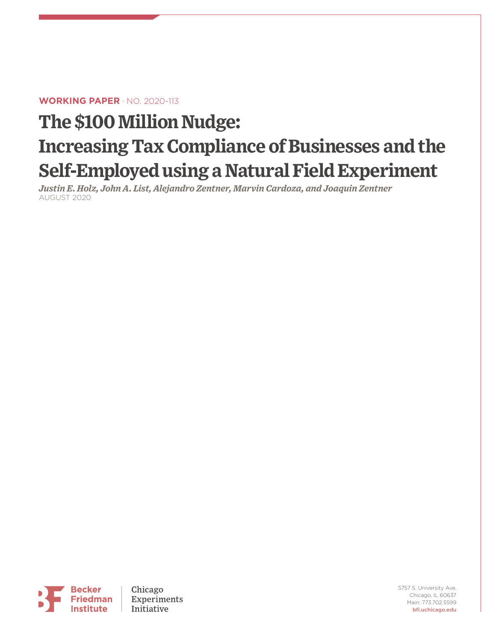#### **WORKING PAPER** · NO. 2020-113

# **The \$100 Million Nudge: Increasing Tax Compliance of Businesses and the Self-Employed using a Natural Field Experiment**

*Justin E. Holz, John A. List, Alejandro Zentner, Marvin Cardoza, and Joaquin Zentner* AUGUST 2020

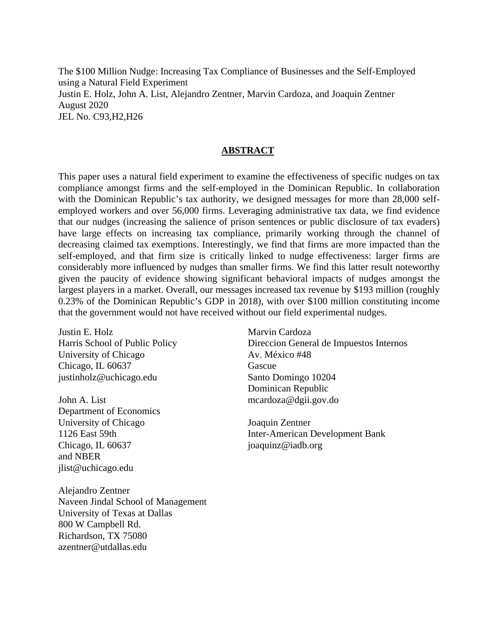The \$100 Million Nudge: Increasing Tax Compliance of Businesses and the Self-Employed using a Natural Field Experiment Justin E. Holz, John A. List, Alejandro Zentner, Marvin Cardoza, and Joaquin Zentner August 2020 JEL No. C93,H2,H26

#### **ABSTRACT**

This paper uses a natural field experiment to examine the effectiveness of specific nudges on tax compliance amongst firms and the self-employed in the Dominican Republic. In collaboration with the Dominican Republic's tax authority, we designed messages for more than 28,000 selfemployed workers and over 56,000 firms. Leveraging administrative tax data, we find evidence that our nudges (increasing the salience of prison sentences or public disclosure of tax evaders) have large effects on increasing tax compliance, primarily working through the channel of decreasing claimed tax exemptions. Interestingly, we find that firms are more impacted than the self-employed, and that firm size is critically linked to nudge effectiveness: larger firms are considerably more influenced by nudges than smaller firms. We find this latter result noteworthy given the paucity of evidence showing significant behavioral impacts of nudges amongst the largest players in a market. Overall, our messages increased tax revenue by \$193 million (roughly 0.23% of the Dominican Republic's GDP in 2018), with over \$100 million constituting income that the government would not have received without our field experimental nudges.

Justin E. Holz Harris School of Public Policy University of Chicago Chicago, IL 60637 justinholz@uchicago.edu

John A. List Department of Economics University of Chicago 1126 East 59th Chicago, IL 60637 and NBER jlist@uchicago.edu

Alejandro Zentner Naveen Jindal School of Management University of Texas at Dallas 800 W Campbell Rd. Richardson, TX 75080 azentner@utdallas.edu

Marvin Cardoza Direccion General de Impuestos Internos Av. México #48 Gascue Santo Domingo 10204 Dominican Republic mcardoza@dgii.gov.do

Joaquin Zentner Inter-American Development Bank joaquinz@iadb.org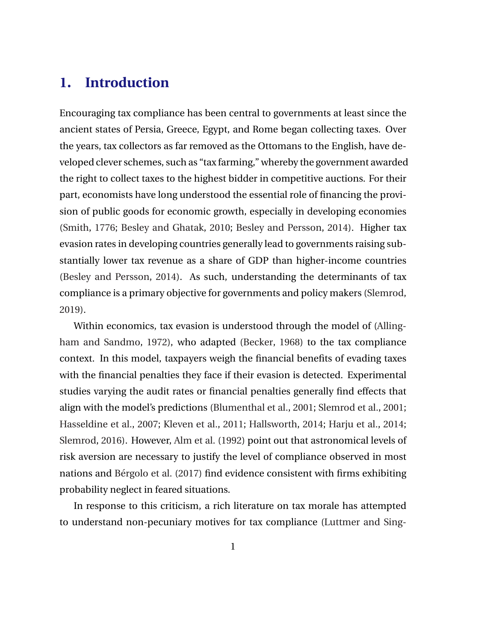## **1. Introduction**

Encouraging tax compliance has been central to governments at least since the ancient states of Persia, Greece, Egypt, and Rome began collecting taxes. Over the years, tax collectors as far removed as the Ottomans to the English, have developed clever schemes, such as "tax farming," whereby the government awarded the right to collect taxes to the highest bidder in competitive auctions. For their part, economists have long understood the essential role of financing the provision of public goods for economic growth, especially in developing economies [\(Smith,](#page-45-0) [1776;](#page-45-0) [Besley and Ghatak,](#page-40-0) [2010;](#page-40-0) [Besley and Persson,](#page-40-0) [2014\)](#page-40-0). Higher tax evasion rates in developing countries generally lead to governments raising substantially lower tax revenue as a share of GDP than higher-income countries [\(Besley and Persson,](#page-40-0) [2014\)](#page-40-0). As such, understanding the determinants of tax compliance is a primary objective for governments and policy makers [\(Slemrod,](#page-45-0) [2019\)](#page-45-0).

Within economics, tax evasion is understood through the model of [\(Alling](#page-40-0)[ham and Sandmo,](#page-40-0) [1972\)](#page-40-0), who adapted [\(Becker,](#page-40-0) [1968\)](#page-40-0) to the tax compliance context. In this model, taxpayers weigh the financial benefits of evading taxes with the financial penalties they face if their evasion is detected. Experimental studies varying the audit rates or financial penalties generally find effects that align with the model's predictions [\(Blumenthal et al.,](#page-40-0) [2001;](#page-40-0) [Slemrod et al.,](#page-45-0) [2001;](#page-45-0) [Hasseldine et al.,](#page-43-0) [2007;](#page-43-0) [Kleven et al.,](#page-43-0) [2011;](#page-43-0) [Hallsworth,](#page-42-0) [2014;](#page-42-0) [Harju et al.,](#page-42-0) [2014;](#page-42-0) [Slemrod,](#page-44-0) [2016\)](#page-44-0). However, [Alm et al.](#page-40-0) [\(1992\)](#page-40-0) point out that astronomical levels of risk aversion are necessary to justify the level of compliance observed in most nations and Bérgolo et al. [\(2017\)](#page-40-0) find evidence consistent with firms exhibiting probability neglect in feared situations.

In response to this criticism, a rich literature on tax morale has attempted to understand non-pecuniary motives for tax compliance [\(Luttmer and Sing-](#page-44-0)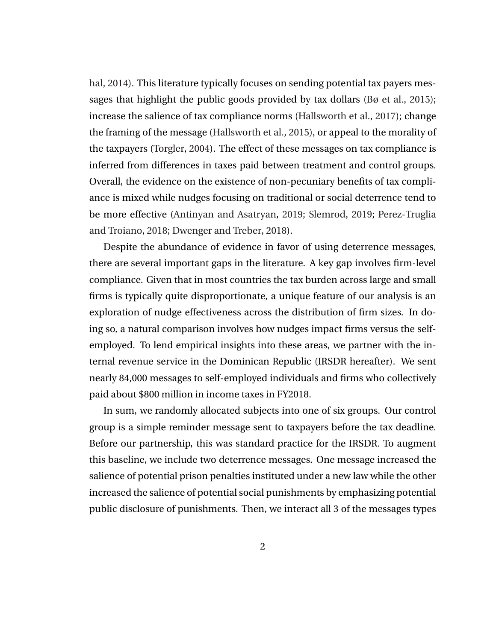[hal,](#page-44-0) [2014\)](#page-44-0). This literature typically focuses on sending potential tax payers messages that highlight the public goods provided by tax dollars [\(Bø et al.,](#page-41-0) [2015\)](#page-41-0); increase the salience of tax compliance norms [\(Hallsworth et al.,](#page-42-0) [2017\)](#page-42-0); change the framing of the message [\(Hallsworth et al.,](#page-42-0) [2015\)](#page-42-0), or appeal to the morality of the taxpayers [\(Torgler,](#page-45-0) [2004\)](#page-45-0). The effect of these messages on tax compliance is inferred from differences in taxes paid between treatment and control groups. Overall, the evidence on the existence of non-pecuniary benefits of tax compliance is mixed while nudges focusing on traditional or social deterrence tend to be more effective [\(Antinyan and Asatryan,](#page-40-0) [2019;](#page-40-0) [Slemrod,](#page-45-0) [2019;](#page-45-0) [Perez-Truglia](#page-44-0) [and Troiano,](#page-44-0) [2018;](#page-44-0) [Dwenger and Treber,](#page-42-0) [2018\)](#page-42-0).

Despite the abundance of evidence in favor of using deterrence messages, there are several important gaps in the literature. A key gap involves firm-level compliance. Given that in most countries the tax burden across large and small firms is typically quite disproportionate, a unique feature of our analysis is an exploration of nudge effectiveness across the distribution of firm sizes. In doing so, a natural comparison involves how nudges impact firms versus the selfemployed. To lend empirical insights into these areas, we partner with the internal revenue service in the Dominican Republic (IRSDR hereafter). We sent nearly 84,000 messages to self-employed individuals and firms who collectively paid about \$800 million in income taxes in FY2018.

In sum, we randomly allocated subjects into one of six groups. Our control group is a simple reminder message sent to taxpayers before the tax deadline. Before our partnership, this was standard practice for the IRSDR. To augment this baseline, we include two deterrence messages. One message increased the salience of potential prison penalties instituted under a new law while the other increased the salience of potential social punishments by emphasizing potential public disclosure of punishments. Then, we interact all 3 of the messages types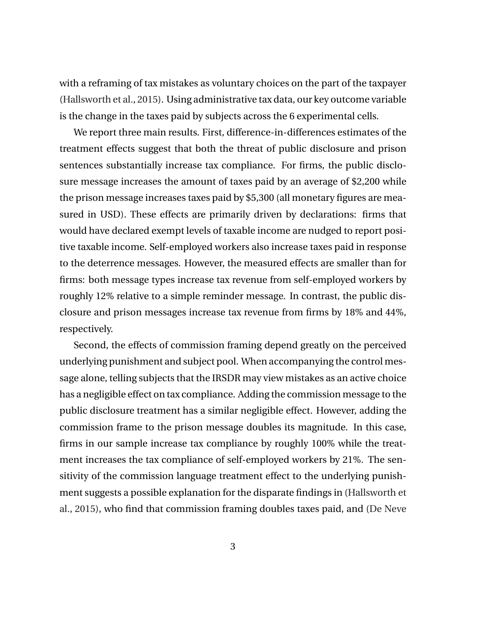with a reframing of tax mistakes as voluntary choices on the part of the taxpayer [\(Hallsworth et al.,](#page-42-0) [2015\)](#page-42-0). Using administrative tax data, our key outcome variable is the change in the taxes paid by subjects across the 6 experimental cells.

We report three main results. First, difference-in-differences estimates of the treatment effects suggest that both the threat of public disclosure and prison sentences substantially increase tax compliance. For firms, the public disclosure message increases the amount of taxes paid by an average of \$2,200 while the prison message increases taxes paid by \$5,300 (all monetary figures are measured in USD). These effects are primarily driven by declarations: firms that would have declared exempt levels of taxable income are nudged to report positive taxable income. Self-employed workers also increase taxes paid in response to the deterrence messages. However, the measured effects are smaller than for firms: both message types increase tax revenue from self-employed workers by roughly 12% relative to a simple reminder message. In contrast, the public disclosure and prison messages increase tax revenue from firms by 18% and 44%, respectively.

Second, the effects of commission framing depend greatly on the perceived underlying punishment and subject pool. When accompanying the control message alone, telling subjects that the IRSDR may view mistakes as an active choice has a negligible effect on tax compliance. Adding the commission message to the public disclosure treatment has a similar negligible effect. However, adding the commission frame to the prison message doubles its magnitude. In this case, firms in our sample increase tax compliance by roughly 100% while the treatment increases the tax compliance of self-employed workers by 21%. The sensitivity of the commission language treatment effect to the underlying punishment suggests a possible explanation for the disparate findings in [\(Hallsworth et](#page-42-0) [al.,](#page-42-0) [2015\)](#page-42-0), who find that commission framing doubles taxes paid, and [\(De Neve](#page-44-0)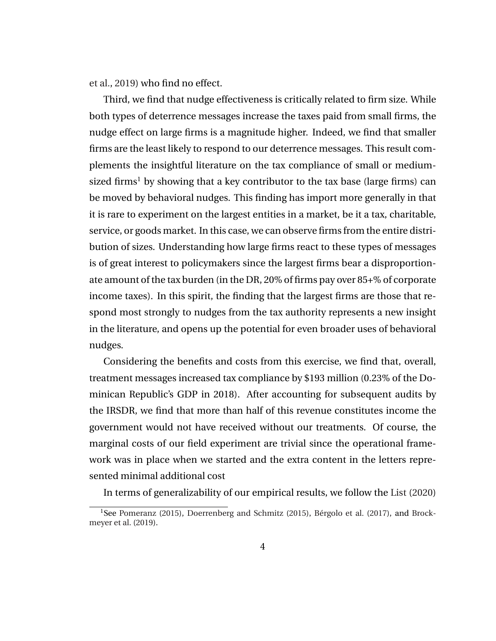[et al.,](#page-44-0) [2019\)](#page-44-0) who find no effect.

Third, we find that nudge effectiveness is critically related to firm size. While both types of deterrence messages increase the taxes paid from small firms, the nudge effect on large firms is a magnitude higher. Indeed, we find that smaller firms are the least likely to respond to our deterrence messages. This result complements the insightful literature on the tax compliance of small or mediumsized firms<sup>1</sup> by showing that a key contributor to the tax base (large firms) can be moved by behavioral nudges. This finding has import more generally in that it is rare to experiment on the largest entities in a market, be it a tax, charitable, service, or goods market. In this case, we can observe firms from the entire distribution of sizes. Understanding how large firms react to these types of messages is of great interest to policymakers since the largest firms bear a disproportionate amount of the tax burden (in the DR, 20% of firms pay over 85+% of corporate income taxes). In this spirit, the finding that the largest firms are those that respond most strongly to nudges from the tax authority represents a new insight in the literature, and opens up the potential for even broader uses of behavioral nudges.

Considering the benefits and costs from this exercise, we find that, overall, treatment messages increased tax compliance by \$193 million (0.23% of the Dominican Republic's GDP in 2018). After accounting for subsequent audits by the IRSDR, we find that more than half of this revenue constitutes income the government would not have received without our treatments. Of course, the marginal costs of our field experiment are trivial since the operational framework was in place when we started and the extra content in the letters represented minimal additional cost

In terms of generalizability of our empirical results, we follow the [List](#page-44-0) [\(2020\)](#page-44-0)

<sup>&</sup>lt;sup>1</sup>See [Pomeranz](#page-44-0) [\(2015\)](#page-41-0), [Doerrenberg and Schmitz](#page-41-0) (2015), Bérgolo et al. [\(2017\)](#page-40-0), and [Brock](#page-41-0)[meyer et al.](#page-41-0) [\(2019\)](#page-41-0).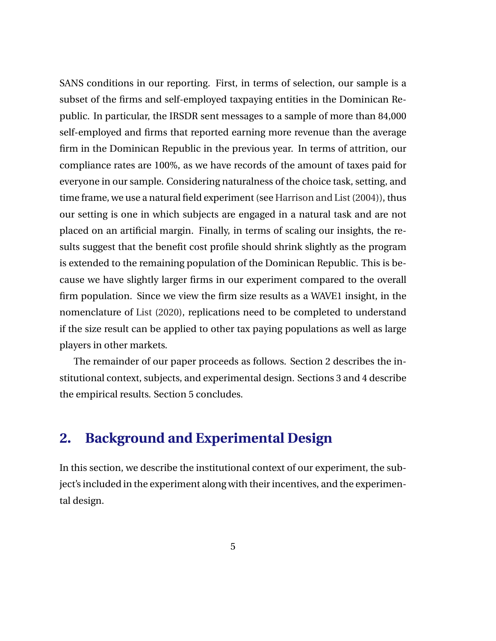SANS conditions in our reporting. First, in terms of selection, our sample is a subset of the firms and self-employed taxpaying entities in the Dominican Republic. In particular, the IRSDR sent messages to a sample of more than 84,000 self-employed and firms that reported earning more revenue than the average firm in the Dominican Republic in the previous year. In terms of attrition, our compliance rates are 100%, as we have records of the amount of taxes paid for everyone in our sample. Considering naturalness of the choice task, setting, and time frame, we use a natural field experiment (see [Harrison and List](#page-42-0) [\(2004\)](#page-42-0)), thus our setting is one in which subjects are engaged in a natural task and are not placed on an artificial margin. Finally, in terms of scaling our insights, the results suggest that the benefit cost profile should shrink slightly as the program is extended to the remaining population of the Dominican Republic. This is because we have slightly larger firms in our experiment compared to the overall firm population. Since we view the firm size results as a WAVE1 insight, in the nomenclature of [List](#page-44-0) [\(2020\)](#page-44-0), replications need to be completed to understand if the size result can be applied to other tax paying populations as well as large players in other markets.

The remainder of our paper proceeds as follows. Section 2 describes the institutional context, subjects, and experimental design. Sections 3 and 4 describe the empirical results. Section 5 concludes.

## **2. Background and Experimental Design**

In this section, we describe the institutional context of our experiment, the subject's included in the experiment along with their incentives, and the experimental design.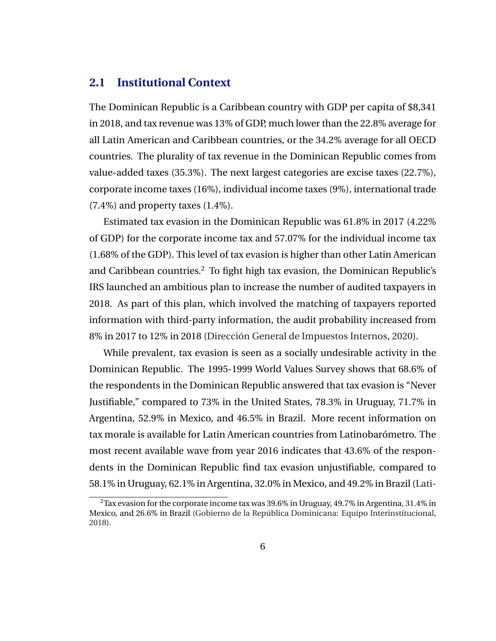#### **2.1 Institutional Context**

The Dominican Republic is a Caribbean country with GDP per capita of \$8,341 in 2018, and tax revenue was 13% of GDP, much lower than the 22.8% average for all Latin American and Caribbean countries, or the 34.2% average for all OECD countries. The plurality of tax revenue in the Dominican Republic comes from value-added taxes (35.3%). The next largest categories are excise taxes (22.7%), corporate income taxes (16%), individual income taxes (9%), international trade (7.4%) and property taxes (1.4%).

Estimated tax evasion in the Dominican Republic was 61.8% in 2017 (4.22% of GDP) for the corporate income tax and 57.07% for the individual income tax (1.68% of the GDP). This level of tax evasion is higher than other Latin American and Caribbean countries.<sup>2</sup> To fight high tax evasion, the Dominican Republic's IRS launched an ambitious plan to increase the number of audited taxpayers in 2018. As part of this plan, which involved the matching of taxpayers reported information with third-party information, the audit probability increased from 8% in 2017 to 12% in 2018 (Dirección General de Impuestos Internos, [2020\)](#page-41-0).

While prevalent, tax evasion is seen as a socially undesirable activity in the Dominican Republic. The 1995-1999 World Values Survey shows that 68.6% of the respondents in the Dominican Republic answered that tax evasion is "Never Justifiable," compared to 73% in the United States, 78.3% in Uruguay, 71.7% in Argentina, 52.9% in Mexico, and 46.5% in Brazil. More recent information on tax morale is available for Latin American countries from Latinobarómetro. The most recent available wave from year 2016 indicates that 43.6% of the respondents in the Dominican Republic find tax evasion unjustifiable, compared to 58.1% in Uruguay, 62.1% in Argentina, 32.0% in Mexico, and 49.2% in Brazil [\(Lati-](#page-43-0)

 $2$ [Tax evasion for the corporate income tax was 39.6% in Uruguay, 49.7% in Argentina, 31.4% in](#page-43-0) Mexico, and 26.6% in Brazil (Gobierno de la República Dominicana: Equipo Interinstitucional, [2018\).](#page-43-0)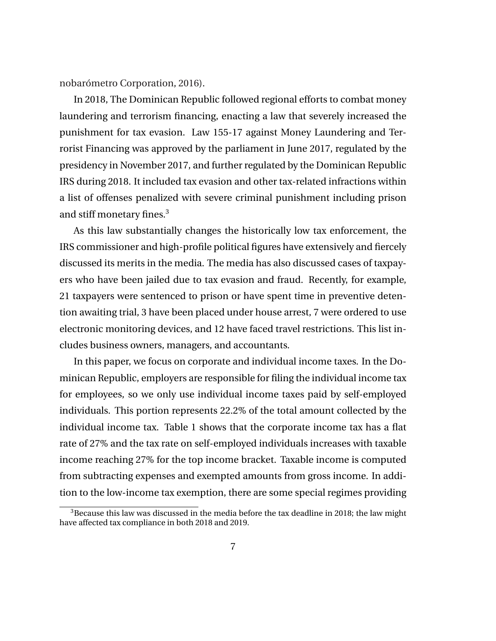nobarómetro Corporation, [2016\)](#page-43-0).

In 2018, The Dominican Republic followed regional efforts to combat money laundering and terrorism financing, enacting a law that severely increased the punishment for tax evasion. Law 155-17 against Money Laundering and Terrorist Financing was approved by the parliament in June 2017, regulated by the presidency in November 2017, and further regulated by the Dominican Republic IRS during 2018. It included tax evasion and other tax-related infractions within a list of offenses penalized with severe criminal punishment including prison and stiff monetary fines.<sup>3</sup>

As this law substantially changes the historically low tax enforcement, the IRS commissioner and high-profile political figures have extensively and fiercely discussed its merits in the media. The media has also discussed cases of taxpayers who have been jailed due to tax evasion and fraud. Recently, for example, 21 taxpayers were sentenced to prison or have spent time in preventive detention awaiting trial, 3 have been placed under house arrest, 7 were ordered to use electronic monitoring devices, and 12 have faced travel restrictions. This list includes business owners, managers, and accountants.

In this paper, we focus on corporate and individual income taxes. In the Dominican Republic, employers are responsible for filing the individual income tax for employees, so we only use individual income taxes paid by self-employed individuals. This portion represents 22.2% of the total amount collected by the individual income tax. Table 1 shows that the corporate income tax has a flat rate of 27% and the tax rate on self-employed individuals increases with taxable income reaching 27% for the top income bracket. Taxable income is computed from subtracting expenses and exempted amounts from gross income. In addition to the low-income tax exemption, there are some special regimes providing

 $3B$  Because this law was discussed in the media before the tax deadline in 2018; the law might have affected tax compliance in both 2018 and 2019.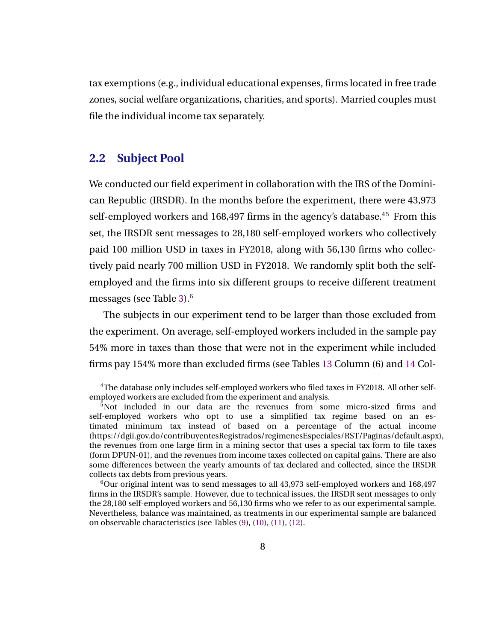tax exemptions (e.g., individual educational expenses, firms located in free trade zones, social welfare organizations, charities, and sports). Married couples must file the individual income tax separately.

#### **2.2 Subject Pool**

We conducted our field experiment in collaboration with the IRS of the Dominican Republic (IRSDR). In the months before the experiment, there were 43,973 self-employed workers and 168,497 firms in the agency's database.<sup>45</sup> From this set, the IRSDR sent messages to 28,180 self-employed workers who collectively paid 100 million USD in taxes in FY2018, along with 56,130 firms who collectively paid nearly 700 million USD in FY2018. We randomly split both the selfemployed and the firms into six different groups to receive different treatment messages (see Table [3\)](#page-26-0).<sup>6</sup>

The subjects in our experiment tend to be larger than those excluded from the experiment. On average, self-employed workers included in the sample pay 54% more in taxes than those that were not in the experiment while included firms pay 154% more than excluded firms (see Tables [13](#page-38-0) Column (6) and [14](#page-38-0) Col-

<sup>&</sup>lt;sup>4</sup>The database only includes self-employed workers who filed taxes in FY2018. All other selfemployed workers are excluded from the experiment and analysis.

<sup>5</sup>Not included in our data are the revenues from some micro-sized firms and self-employed workers who opt to use a simplified tax regime based on an estimated minimum tax instead of based on a percentage of the actual income (https://dgii.gov.do/contribuyentesRegistrados/regimenesEspeciales/RST/Paginas/default.aspx), the revenues from one large firm in a mining sector that uses a special tax form to file taxes (form DPUN-01), and the revenues from income taxes collected on capital gains. There are also some differences between the yearly amounts of tax declared and collected, since the IRSDR collects tax debts from previous years.

 $6$ Our original intent was to send messages to all 43,973 self-employed workers and 168,497 firms in the IRSDR's sample. However, due to technical issues, the IRSDR sent messages to only the 28,180 self-employed workers and 56,130 firms who we refer to as our experimental sample. Nevertheless, balance was maintained, as treatments in our experimental sample are balanced on observable characteristics (see Tables [\(9\)](#page-35-0), [\(10\)](#page-35-0), [\(11\)](#page-36-0), [\(12\)](#page-37-0).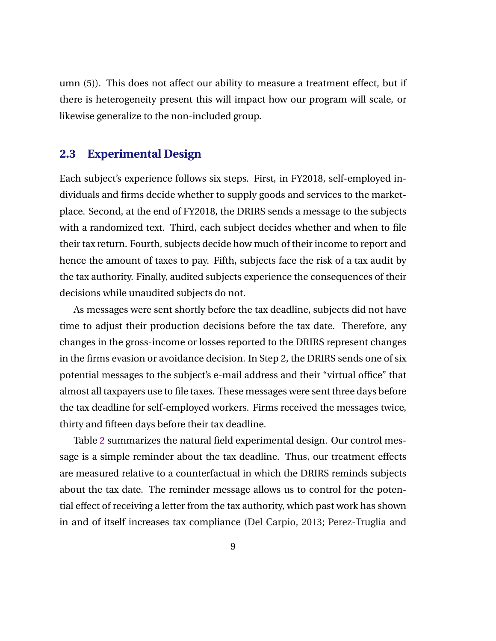umn (5)). This does not affect our ability to measure a treatment effect, but if there is heterogeneity present this will impact how our program will scale, or likewise generalize to the non-included group.

#### **2.3 Experimental Design**

Each subject's experience follows six steps. First, in FY2018, self-employed individuals and firms decide whether to supply goods and services to the marketplace. Second, at the end of FY2018, the DRIRS sends a message to the subjects with a randomized text. Third, each subject decides whether and when to file their tax return. Fourth, subjects decide how much of their income to report and hence the amount of taxes to pay. Fifth, subjects face the risk of a tax audit by the tax authority. Finally, audited subjects experience the consequences of their decisions while unaudited subjects do not.

As messages were sent shortly before the tax deadline, subjects did not have time to adjust their production decisions before the tax date. Therefore, any changes in the gross-income or losses reported to the DRIRS represent changes in the firms evasion or avoidance decision. In Step 2, the DRIRS sends one of six potential messages to the subject's e-mail address and their "virtual office" that almost all taxpayers use to file taxes. These messages were sent three days before the tax deadline for self-employed workers. Firms received the messages twice, thirty and fifteen days before their tax deadline.

Table [2](#page-25-0) summarizes the natural field experimental design. Our control message is a simple reminder about the tax deadline. Thus, our treatment effects are measured relative to a counterfactual in which the DRIRS reminds subjects about the tax date. The reminder message allows us to control for the potential effect of receiving a letter from the tax authority, which past work has shown in and of itself increases tax compliance [\(Del Carpio,](#page-41-0) [2013;](#page-41-0) [Perez-Truglia and](#page-44-0)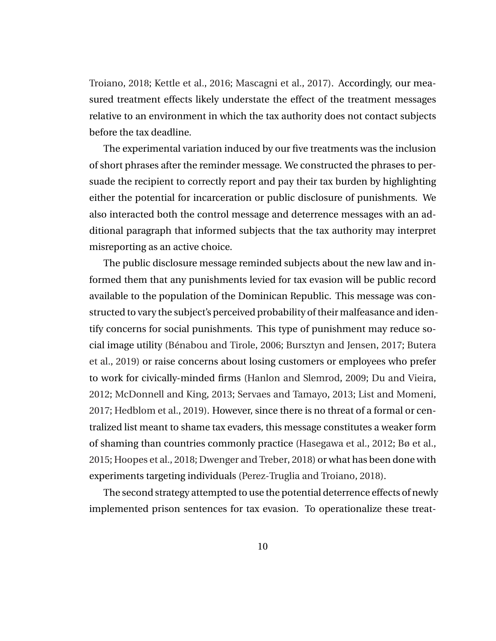[Troiano,](#page-44-0) [2018;](#page-44-0) [Kettle et al.,](#page-43-0) [2016;](#page-43-0) [Mascagni et al.,](#page-44-0) [2017\)](#page-44-0). Accordingly, our measured treatment effects likely understate the effect of the treatment messages relative to an environment in which the tax authority does not contact subjects before the tax deadline.

The experimental variation induced by our five treatments was the inclusion of short phrases after the reminder message. We constructed the phrases to persuade the recipient to correctly report and pay their tax burden by highlighting either the potential for incarceration or public disclosure of punishments. We also interacted both the control message and deterrence messages with an additional paragraph that informed subjects that the tax authority may interpret misreporting as an active choice.

The public disclosure message reminded subjects about the new law and informed them that any punishments levied for tax evasion will be public record available to the population of the Dominican Republic. This message was constructed to vary the subject's perceived probability of their malfeasance and identify concerns for social punishments. This type of punishment may reduce so-cial image utility (Bénabou and Tirole, [2006;](#page-40-0) [Bursztyn and Jensen,](#page-41-0) [2017;](#page-41-0) [Butera](#page-41-0) [et al.,](#page-41-0) [2019\)](#page-41-0) or raise concerns about losing customers or employees who prefer to work for civically-minded firms [\(Hanlon and Slemrod,](#page-42-0) [2009;](#page-42-0) [Du and Vieira,](#page-42-0) [2012;](#page-42-0) [McDonnell and King,](#page-44-0) [2013;](#page-44-0) [Servaes and Tamayo,](#page-44-0) [2013;](#page-44-0) [List and Momeni,](#page-44-0) [2017;](#page-44-0) [Hedblom et al.,](#page-43-0) [2019\)](#page-43-0). However, since there is no threat of a formal or centralized list meant to shame tax evaders, this message constitutes a weaker form of shaming than countries commonly practice [\(Hasegawa et al.,](#page-42-0) [2012;](#page-42-0) [Bø et al.,](#page-41-0) [2015;](#page-41-0) [Hoopes et al.,](#page-43-0) [2018;](#page-43-0) [Dwenger and Treber,](#page-42-0) [2018\)](#page-42-0) or what has been done with experiments targeting individuals [\(Perez-Truglia and Troiano,](#page-44-0) [2018\)](#page-44-0).

The second strategy attempted to use the potential deterrence effects of newly implemented prison sentences for tax evasion. To operationalize these treat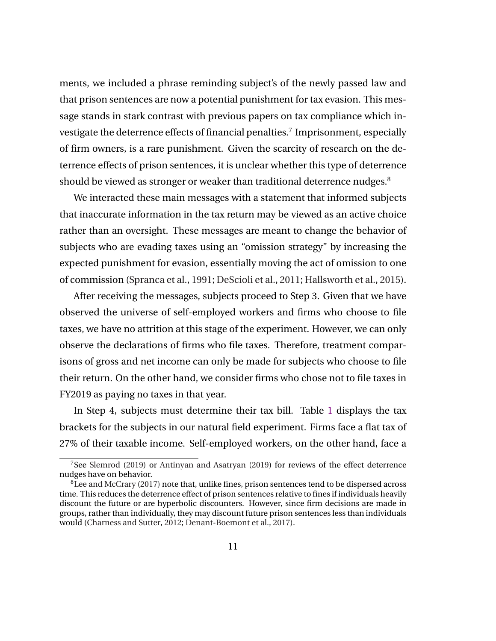ments, we included a phrase reminding subject's of the newly passed law and that prison sentences are now a potential punishment for tax evasion. This message stands in stark contrast with previous papers on tax compliance which investigate the deterrence effects of financial penalties.<sup>7</sup> Imprisonment, especially of firm owners, is a rare punishment. Given the scarcity of research on the deterrence effects of prison sentences, it is unclear whether this type of deterrence should be viewed as stronger or weaker than traditional deterrence nudges.<sup>8</sup>

We interacted these main messages with a statement that informed subjects that inaccurate information in the tax return may be viewed as an active choice rather than an oversight. These messages are meant to change the behavior of subjects who are evading taxes using an "omission strategy" by increasing the expected punishment for evasion, essentially moving the act of omission to one of commission [\(Spranca et al.,](#page-45-0) [1991;](#page-45-0) [DeScioli et al.,](#page-41-0) [2011;](#page-41-0) [Hallsworth et al.,](#page-42-0) [2015\)](#page-42-0).

After receiving the messages, subjects proceed to Step 3. Given that we have observed the universe of self-employed workers and firms who choose to file taxes, we have no attrition at this stage of the experiment. However, we can only observe the declarations of firms who file taxes. Therefore, treatment comparisons of gross and net income can only be made for subjects who choose to file their return. On the other hand, we consider firms who chose not to file taxes in FY2019 as paying no taxes in that year.

In Step 4, subjects must determine their tax bill. Table [1](#page-24-0) displays the tax brackets for the subjects in our natural field experiment. Firms face a flat tax of 27% of their taxable income. Self-employed workers, on the other hand, face a

<sup>7</sup>See [Slemrod](#page-45-0) [\(2019\)](#page-45-0) or [Antinyan and Asatryan](#page-40-0) [\(2019\)](#page-40-0) for reviews of the effect deterrence nudges have on behavior.

 ${}^{8}$ [Lee and McCrary](#page-43-0) [\(2017\)](#page-43-0) note that, unlike fines, prison sentences tend to be dispersed across time. This reduces the deterrence effect of prison sentences relative to fines if individuals heavily discount the future or are hyperbolic discounters. However, since firm decisions are made in groups, rather than individually, they may discount future prison sentences less than individuals would [\(Charness and Sutter,](#page-41-0) [2012;](#page-41-0) [Denant-Boemont et al.,](#page-41-0) [2017\)](#page-41-0).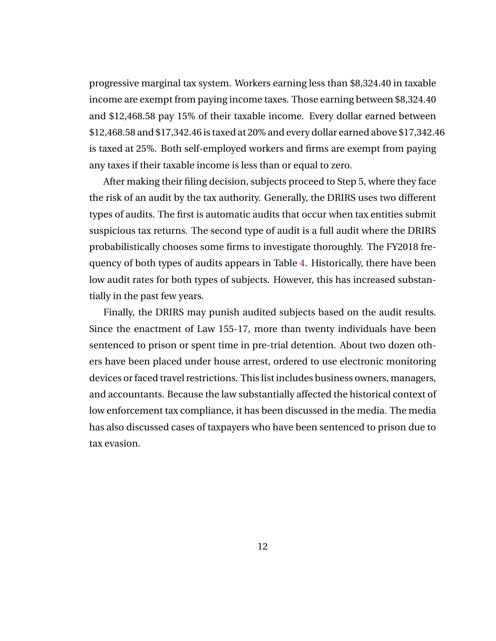progressive marginal tax system. Workers earning less than \$8,324.40 in taxable income are exempt from paying income taxes. Those earning between \$8,324.40 and \$12,468.58 pay 15% of their taxable income. Every dollar earned between \$12,468.58 and \$17,342.46 is taxed at 20% and every dollar earned above \$17,342.46 is taxed at 25%. Both self-employed workers and firms are exempt from paying any taxes if their taxable income is less than or equal to zero.

After making their filing decision, subjects proceed to Step 5, where they face the risk of an audit by the tax authority. Generally, the DRIRS uses two different types of audits. The first is automatic audits that occur when tax entities submit suspicious tax returns. The second type of audit is a full audit where the DRIRS probabilistically chooses some firms to investigate thoroughly. The FY2018 frequency of both types of audits appears in Table [4.](#page-27-0) Historically, there have been low audit rates for both types of subjects. However, this has increased substantially in the past few years.

Finally, the DRIRS may punish audited subjects based on the audit results. Since the enactment of Law 155-17, more than twenty individuals have been sentenced to prison or spent time in pre-trial detention. About two dozen others have been placed under house arrest, ordered to use electronic monitoring devices or faced travel restrictions. This list includes business owners, managers, and accountants. Because the law substantially affected the historical context of low enforcement tax compliance, it has been discussed in the media. The media has also discussed cases of taxpayers who have been sentenced to prison due to tax evasion.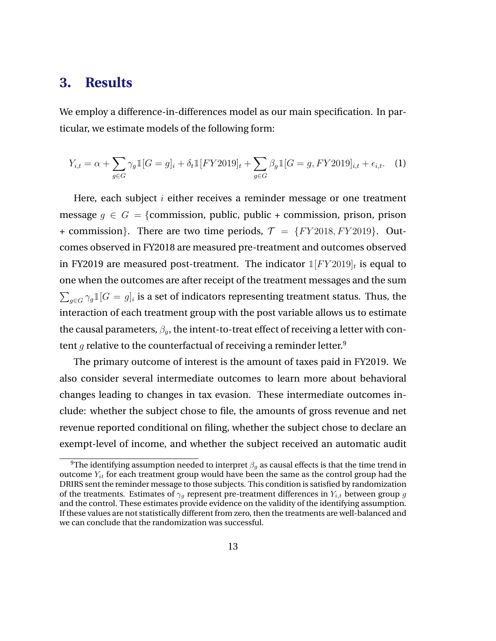### <span id="page-14-0"></span>**3. Results**

We employ a difference-in-differences model as our main specification. In particular, we estimate models of the following form:

$$
Y_{i,t} = \alpha + \sum_{g \in G} \gamma_g \mathbb{1}[G = g]_i + \delta_t \mathbb{1}[FY2019]_t + \sum_{g \in G} \beta_g \mathbb{1}[G = g, FY2019]_{i,t} + \epsilon_{i,t}.
$$
 (1)

Here, each subject  $i$  either receives a reminder message or one treatment message  $g \in G = \{$ commission, public, public + commission, prison, prison + commission}. There are two time periods,  $\mathcal{T} = \{FY2018, FY2019\}$ . Outcomes observed in FY2018 are measured pre-treatment and outcomes observed in FY2019 are measured post-treatment. The indicator  $\mathbb{1}[FY2019]_t$  is equal to one when the outcomes are after receipt of the treatment messages and the sum  $\sum_{g \in G} \gamma_g \mathbb{1}[G = g]_i$  is a set of indicators representing treatment status. Thus, the interaction of each treatment group with the post variable allows us to estimate the causal parameters,  $\beta_{q}$ , the intent-to-treat effect of receiving a letter with content g relative to the counterfactual of receiving a reminder letter.<sup>9</sup>

The primary outcome of interest is the amount of taxes paid in FY2019. We also consider several intermediate outcomes to learn more about behavioral changes leading to changes in tax evasion. These intermediate outcomes include: whether the subject chose to file, the amounts of gross revenue and net revenue reported conditional on filing, whether the subject chose to declare an exempt-level of income, and whether the subject received an automatic audit

<sup>&</sup>lt;sup>9</sup>The identifying assumption needed to interpret  $\beta_q$  as causal effects is that the time trend in outcome  $Y_{it}$  for each treatment group would have been the same as the control group had the DRIRS sent the reminder message to those subjects. This condition is satisfied by randomization of the treatments. Estimates of  $\gamma_q$  represent pre-treatment differences in  $Y_{i,t}$  between group g and the control. These estimates provide evidence on the validity of the identifying assumption. If these values are not statistically different from zero, then the treatments are well-balanced and we can conclude that the randomization was successful.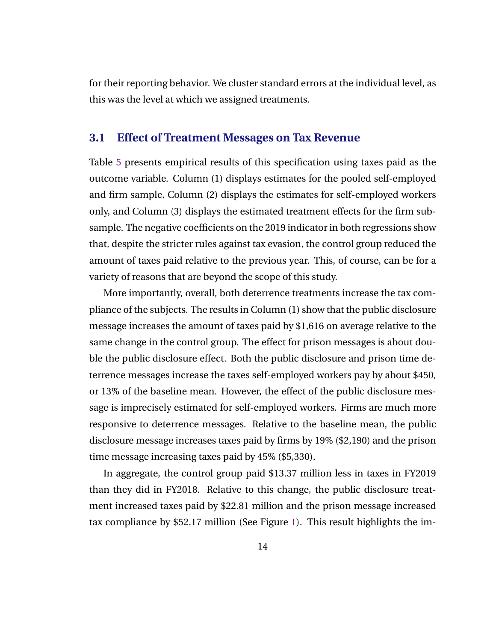for their reporting behavior. We cluster standard errors at the individual level, as this was the level at which we assigned treatments.

#### **3.1 Effect of Treatment Messages on Tax Revenue**

Table [5](#page-28-0) presents empirical results of this specification using taxes paid as the outcome variable. Column (1) displays estimates for the pooled self-employed and firm sample, Column (2) displays the estimates for self-employed workers only, and Column (3) displays the estimated treatment effects for the firm subsample. The negative coefficients on the 2019 indicator in both regressions show that, despite the stricter rules against tax evasion, the control group reduced the amount of taxes paid relative to the previous year. This, of course, can be for a variety of reasons that are beyond the scope of this study.

More importantly, overall, both deterrence treatments increase the tax compliance of the subjects. The results in Column (1) show that the public disclosure message increases the amount of taxes paid by \$1,616 on average relative to the same change in the control group. The effect for prison messages is about double the public disclosure effect. Both the public disclosure and prison time deterrence messages increase the taxes self-employed workers pay by about \$450, or 13% of the baseline mean. However, the effect of the public disclosure message is imprecisely estimated for self-employed workers. Firms are much more responsive to deterrence messages. Relative to the baseline mean, the public disclosure message increases taxes paid by firms by 19% (\$2,190) and the prison time message increasing taxes paid by 45% (\$5,330).

In aggregate, the control group paid \$13.37 million less in taxes in FY2019 than they did in FY2018. Relative to this change, the public disclosure treatment increased taxes paid by \$22.81 million and the prison message increased tax compliance by \$52.17 million (See Figure [1\)](#page-32-0). This result highlights the im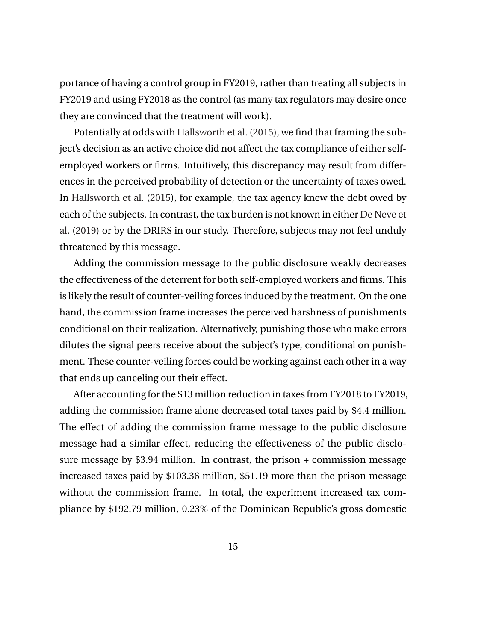portance of having a control group in FY2019, rather than treating all subjects in FY2019 and using FY2018 as the control (as many tax regulators may desire once they are convinced that the treatment will work).

Potentially at odds with [Hallsworth et al.](#page-42-0) [\(2015\)](#page-42-0), we find that framing the subject's decision as an active choice did not affect the tax compliance of either selfemployed workers or firms. Intuitively, this discrepancy may result from differences in the perceived probability of detection or the uncertainty of taxes owed. In [Hallsworth et al.](#page-42-0) [\(2015\)](#page-42-0), for example, the tax agency knew the debt owed by each of the subjects. In contrast, the tax burden is not known in either [De Neve et](#page-44-0) [al.](#page-44-0) [\(2019\)](#page-44-0) or by the DRIRS in our study. Therefore, subjects may not feel unduly threatened by this message.

Adding the commission message to the public disclosure weakly decreases the effectiveness of the deterrent for both self-employed workers and firms. This is likely the result of counter-veiling forces induced by the treatment. On the one hand, the commission frame increases the perceived harshness of punishments conditional on their realization. Alternatively, punishing those who make errors dilutes the signal peers receive about the subject's type, conditional on punishment. These counter-veiling forces could be working against each other in a way that ends up canceling out their effect.

After accounting for the \$13 million reduction in taxes from FY2018 to FY2019, adding the commission frame alone decreased total taxes paid by \$4.4 million. The effect of adding the commission frame message to the public disclosure message had a similar effect, reducing the effectiveness of the public disclosure message by \$3.94 million. In contrast, the prison + commission message increased taxes paid by \$103.36 million, \$51.19 more than the prison message without the commission frame. In total, the experiment increased tax compliance by \$192.79 million, 0.23% of the Dominican Republic's gross domestic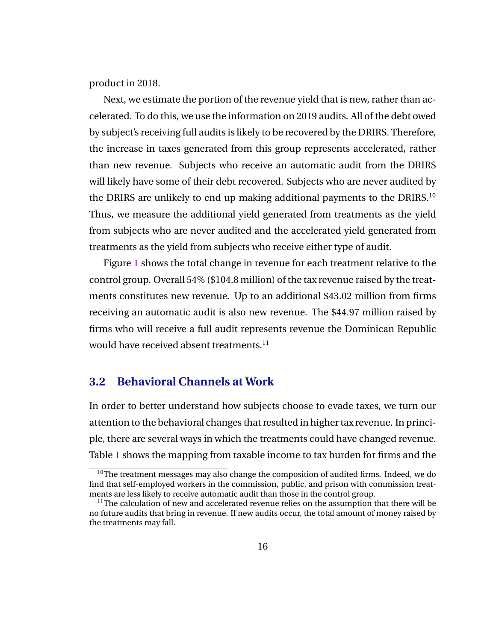product in 2018.

Next, we estimate the portion of the revenue yield that is new, rather than accelerated. To do this, we use the information on 2019 audits. All of the debt owed by subject's receiving full audits is likely to be recovered by the DRIRS. Therefore, the increase in taxes generated from this group represents accelerated, rather than new revenue. Subjects who receive an automatic audit from the DRIRS will likely have some of their debt recovered. Subjects who are never audited by the DRIRS are unlikely to end up making additional payments to the DRIRS.<sup>10</sup> Thus, we measure the additional yield generated from treatments as the yield from subjects who are never audited and the accelerated yield generated from treatments as the yield from subjects who receive either type of audit.

Figure [1](#page-32-0) shows the total change in revenue for each treatment relative to the control group. Overall 54% (\$104.8 million) of the tax revenue raised by the treatments constitutes new revenue. Up to an additional \$43.02 million from firms receiving an automatic audit is also new revenue. The \$44.97 million raised by firms who will receive a full audit represents revenue the Dominican Republic would have received absent treatments.<sup>11</sup>

#### **3.2 Behavioral Channels at Work**

In order to better understand how subjects choose to evade taxes, we turn our attention to the behavioral changes that resulted in higher tax revenue. In principle, there are several ways in which the treatments could have changed revenue. Table [1](#page-24-0) shows the mapping from taxable income to tax burden for firms and the

 $10$ The treatment messages may also change the composition of audited firms. Indeed, we do find that self-employed workers in the commission, public, and prison with commission treatments are less likely to receive automatic audit than those in the control group.

<sup>&</sup>lt;sup>11</sup>The calculation of new and accelerated revenue relies on the assumption that there will be no future audits that bring in revenue. If new audits occur, the total amount of money raised by the treatments may fall.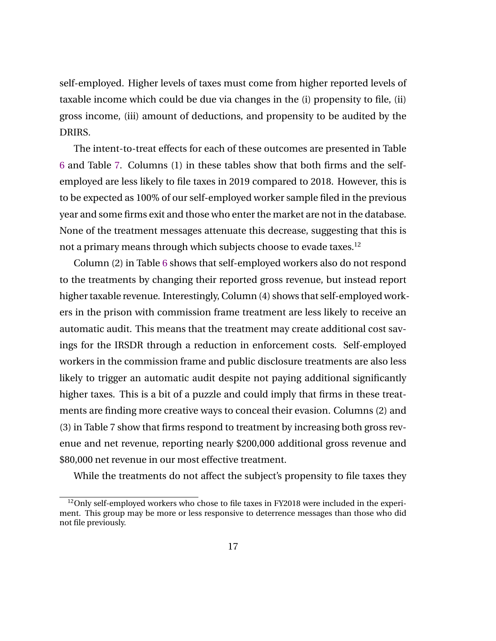self-employed. Higher levels of taxes must come from higher reported levels of taxable income which could be due via changes in the (i) propensity to file, (ii) gross income, (iii) amount of deductions, and propensity to be audited by the DRIRS.

The intent-to-treat effects for each of these outcomes are presented in Table [6](#page-29-0) and Table [7.](#page-30-0) Columns (1) in these tables show that both firms and the selfemployed are less likely to file taxes in 2019 compared to 2018. However, this is to be expected as 100% of our self-employed worker sample filed in the previous year and some firms exit and those who enter the market are not in the database. None of the treatment messages attenuate this decrease, suggesting that this is not a primary means through which subjects choose to evade taxes.<sup>12</sup>

Column (2) in Table [6](#page-29-0) shows that self-employed workers also do not respond to the treatments by changing their reported gross revenue, but instead report higher taxable revenue. Interestingly, Column (4) shows that self-employed workers in the prison with commission frame treatment are less likely to receive an automatic audit. This means that the treatment may create additional cost savings for the IRSDR through a reduction in enforcement costs. Self-employed workers in the commission frame and public disclosure treatments are also less likely to trigger an automatic audit despite not paying additional significantly higher taxes. This is a bit of a puzzle and could imply that firms in these treatments are finding more creative ways to conceal their evasion. Columns (2) and (3) in Table 7 show that firms respond to treatment by increasing both gross revenue and net revenue, reporting nearly \$200,000 additional gross revenue and \$80,000 net revenue in our most effective treatment.

While the treatments do not affect the subject's propensity to file taxes they

<sup>&</sup>lt;sup>12</sup>Only self-employed workers who chose to file taxes in FY2018 were included in the experiment. This group may be more or less responsive to deterrence messages than those who did not file previously.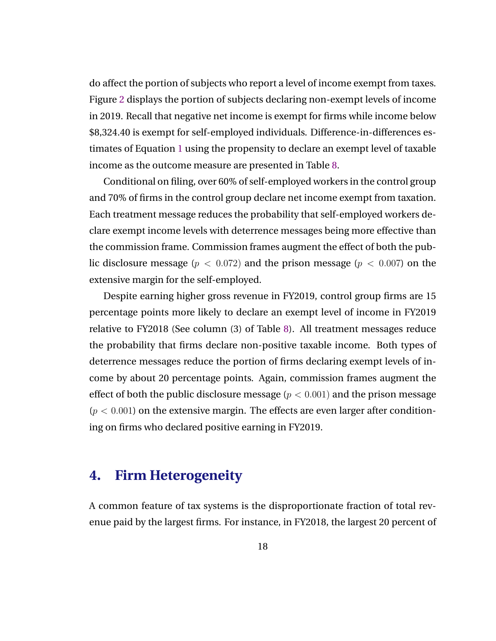do affect the portion of subjects who report a level of income exempt from taxes. Figure [2](#page-33-0) displays the portion of subjects declaring non-exempt levels of income in 2019. Recall that negative net income is exempt for firms while income below \$8,324.40 is exempt for self-employed individuals. Difference-in-differences estimates of Equation [1](#page-14-0) using the propensity to declare an exempt level of taxable income as the outcome measure are presented in Table [8.](#page-31-0)

Conditional on filing, over 60% of self-employed workers in the control group and 70% of firms in the control group declare net income exempt from taxation. Each treatment message reduces the probability that self-employed workers declare exempt income levels with deterrence messages being more effective than the commission frame. Commission frames augment the effect of both the public disclosure message ( $p < 0.072$ ) and the prison message ( $p < 0.007$ ) on the extensive margin for the self-employed.

Despite earning higher gross revenue in FY2019, control group firms are 15 percentage points more likely to declare an exempt level of income in FY2019 relative to FY2018 (See column (3) of Table [8\)](#page-31-0). All treatment messages reduce the probability that firms declare non-positive taxable income. Both types of deterrence messages reduce the portion of firms declaring exempt levels of income by about 20 percentage points. Again, commission frames augment the effect of both the public disclosure message ( $p < 0.001$ ) and the prison message  $(p < 0.001)$  on the extensive margin. The effects are even larger after conditioning on firms who declared positive earning in FY2019.

### **4. Firm Heterogeneity**

A common feature of tax systems is the disproportionate fraction of total revenue paid by the largest firms. For instance, in FY2018, the largest 20 percent of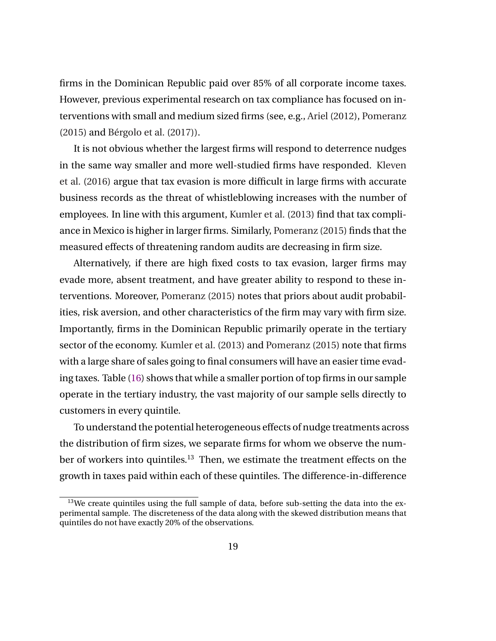firms in the Dominican Republic paid over 85% of all corporate income taxes. However, previous experimental research on tax compliance has focused on interventions with small and medium sized firms (see, e.g., [Ariel](#page-40-0) [\(2012\)](#page-40-0), [Pomeranz](#page-44-0)  $(2015)$  and Bérgolo et al.  $(2017)$ ).

It is not obvious whether the largest firms will respond to deterrence nudges in the same way smaller and more well-studied firms have responded. [Kleven](#page-43-0) [et al.](#page-43-0) [\(2016\)](#page-43-0) argue that tax evasion is more difficult in large firms with accurate business records as the threat of whistleblowing increases with the number of employees. In line with this argument, [Kumler et al.](#page-43-0) [\(2013\)](#page-43-0) find that tax compliance in Mexico is higher in larger firms. Similarly, [Pomeranz](#page-44-0) [\(2015\)](#page-44-0) finds that the measured effects of threatening random audits are decreasing in firm size.

Alternatively, if there are high fixed costs to tax evasion, larger firms may evade more, absent treatment, and have greater ability to respond to these interventions. Moreover, [Pomeranz](#page-44-0) [\(2015\)](#page-44-0) notes that priors about audit probabilities, risk aversion, and other characteristics of the firm may vary with firm size. Importantly, firms in the Dominican Republic primarily operate in the tertiary sector of the economy. [Kumler et al.](#page-43-0) [\(2013\)](#page-43-0) and [Pomeranz](#page-44-0) [\(2015\)](#page-44-0) note that firms with a large share of sales going to final consumers will have an easier time evading taxes. Table [\(16\)](#page-39-0) shows that while a smaller portion of top firms in our sample operate in the tertiary industry, the vast majority of our sample sells directly to customers in every quintile.

To understand the potential heterogeneous effects of nudge treatments across the distribution of firm sizes, we separate firms for whom we observe the number of workers into quintiles.<sup>13</sup> Then, we estimate the treatment effects on the growth in taxes paid within each of these quintiles. The difference-in-difference

 $13$ We create quintiles using the full sample of data, before sub-setting the data into the experimental sample. The discreteness of the data along with the skewed distribution means that quintiles do not have exactly 20% of the observations.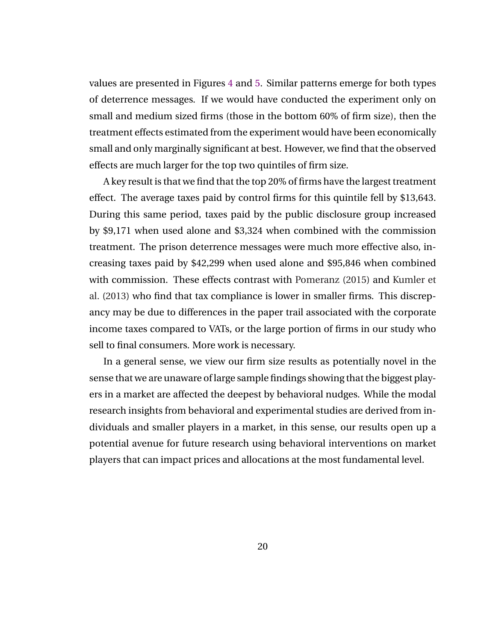values are presented in Figures [4](#page-34-0) and [5.](#page-34-0) Similar patterns emerge for both types of deterrence messages. If we would have conducted the experiment only on small and medium sized firms (those in the bottom 60% of firm size), then the treatment effects estimated from the experiment would have been economically small and only marginally significant at best. However, we find that the observed effects are much larger for the top two quintiles of firm size.

A key result is that we find that the top 20% of firms have the largest treatment effect. The average taxes paid by control firms for this quintile fell by \$13,643. During this same period, taxes paid by the public disclosure group increased by \$9,171 when used alone and \$3,324 when combined with the commission treatment. The prison deterrence messages were much more effective also, increasing taxes paid by \$42,299 when used alone and \$95,846 when combined with commission. These effects contrast with [Pomeranz](#page-44-0) [\(2015\)](#page-44-0) and [Kumler et](#page-43-0) [al.](#page-43-0) [\(2013\)](#page-43-0) who find that tax compliance is lower in smaller firms. This discrepancy may be due to differences in the paper trail associated with the corporate income taxes compared to VATs, or the large portion of firms in our study who sell to final consumers. More work is necessary.

In a general sense, we view our firm size results as potentially novel in the sense that we are unaware of large sample findings showing that the biggest players in a market are affected the deepest by behavioral nudges. While the modal research insights from behavioral and experimental studies are derived from individuals and smaller players in a market, in this sense, our results open up a potential avenue for future research using behavioral interventions on market players that can impact prices and allocations at the most fundamental level.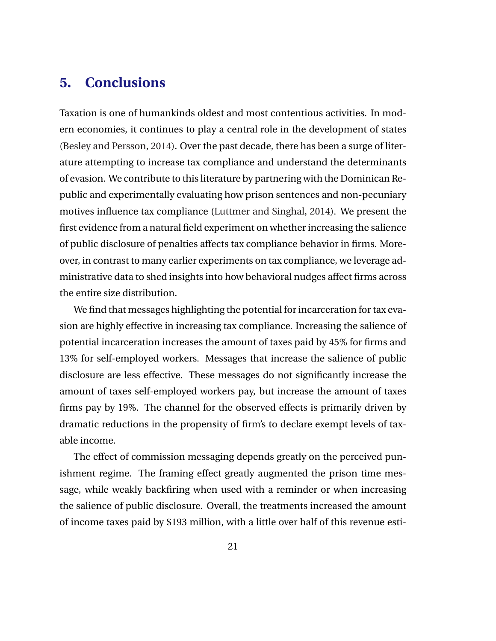## **5. Conclusions**

Taxation is one of humankinds oldest and most contentious activities. In modern economies, it continues to play a central role in the development of states [\(Besley and Persson,](#page-40-0) [2014\)](#page-40-0). Over the past decade, there has been a surge of literature attempting to increase tax compliance and understand the determinants of evasion. We contribute to this literature by partnering with the Dominican Republic and experimentally evaluating how prison sentences and non-pecuniary motives influence tax compliance [\(Luttmer and Singhal,](#page-44-0) [2014\)](#page-44-0). We present the first evidence from a natural field experiment on whether increasing the salience of public disclosure of penalties affects tax compliance behavior in firms. Moreover, in contrast to many earlier experiments on tax compliance, we leverage administrative data to shed insights into how behavioral nudges affect firms across the entire size distribution.

We find that messages highlighting the potential for incarceration for tax evasion are highly effective in increasing tax compliance. Increasing the salience of potential incarceration increases the amount of taxes paid by 45% for firms and 13% for self-employed workers. Messages that increase the salience of public disclosure are less effective. These messages do not significantly increase the amount of taxes self-employed workers pay, but increase the amount of taxes firms pay by 19%. The channel for the observed effects is primarily driven by dramatic reductions in the propensity of firm's to declare exempt levels of taxable income.

The effect of commission messaging depends greatly on the perceived punishment regime. The framing effect greatly augmented the prison time message, while weakly backfiring when used with a reminder or when increasing the salience of public disclosure. Overall, the treatments increased the amount of income taxes paid by \$193 million, with a little over half of this revenue esti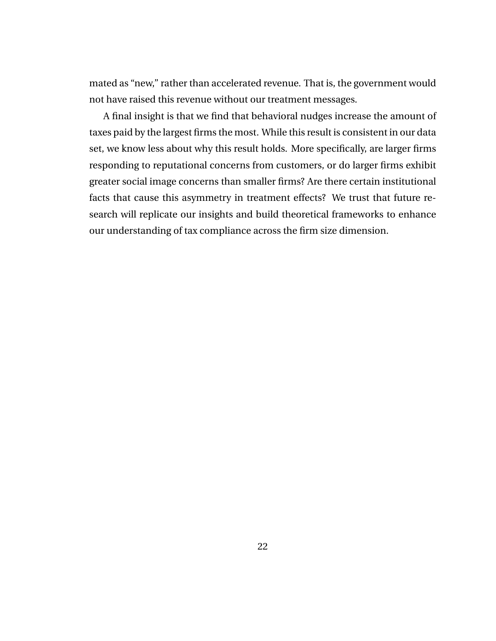mated as "new," rather than accelerated revenue. That is, the government would not have raised this revenue without our treatment messages.

A final insight is that we find that behavioral nudges increase the amount of taxes paid by the largest firms the most. While this result is consistent in our data set, we know less about why this result holds. More specifically, are larger firms responding to reputational concerns from customers, or do larger firms exhibit greater social image concerns than smaller firms? Are there certain institutional facts that cause this asymmetry in treatment effects? We trust that future research will replicate our insights and build theoretical frameworks to enhance our understanding of tax compliance across the firm size dimension.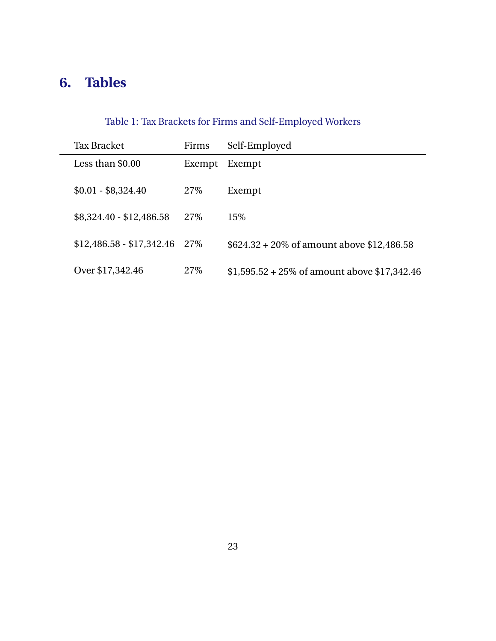## <span id="page-24-0"></span>**6. Tables**

## Table 1: Tax Brackets for Firms and Self-Employed Workers

| <b>Tax Bracket</b>        | Firms  | Self-Employed                                        |
|---------------------------|--------|------------------------------------------------------|
| Less than \$0.00          | Exempt | Exempt                                               |
| $$0.01 - $8,324.40$       | 27\%   | Exempt                                               |
| $$8,324.40 - $12,486.58$  | 27\%   | 15%                                                  |
| $$12,486.58 - $17,342.46$ | 27\%   | $$624.32 + 20\% \text{ of amount above } $12,486.58$ |
| Over \$17,342.46          | 27%    | $$1,595.52 + 25\%$ of amount above \$17,342.46       |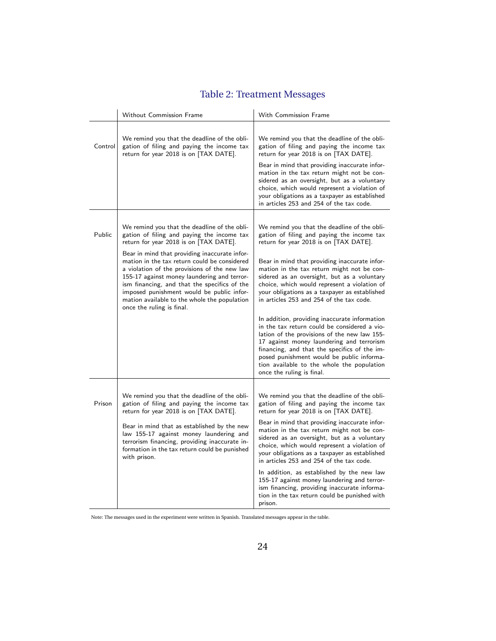<span id="page-25-0"></span>

|         | Without Commission Frame                                                                                                                                                                                                                                                                                                                                                                                                                                                                                       | With Commission Frame                                                                                                                                                                                                                                                                                                                                                                                                                                                                                                                                                                                                                                                                                                                                                                                 |
|---------|----------------------------------------------------------------------------------------------------------------------------------------------------------------------------------------------------------------------------------------------------------------------------------------------------------------------------------------------------------------------------------------------------------------------------------------------------------------------------------------------------------------|-------------------------------------------------------------------------------------------------------------------------------------------------------------------------------------------------------------------------------------------------------------------------------------------------------------------------------------------------------------------------------------------------------------------------------------------------------------------------------------------------------------------------------------------------------------------------------------------------------------------------------------------------------------------------------------------------------------------------------------------------------------------------------------------------------|
| Control | We remind you that the deadline of the obli-<br>gation of filing and paying the income tax<br>return for year 2018 is on [TAX DATE].                                                                                                                                                                                                                                                                                                                                                                           | We remind you that the deadline of the obli-<br>gation of filing and paying the income tax<br>return for year 2018 is on [TAX DATE].<br>Bear in mind that providing inaccurate infor-<br>mation in the tax return might not be con-<br>sidered as an oversight, but as a voluntary<br>choice, which would represent a violation of<br>your obligations as a taxpayer as established<br>in articles 253 and 254 of the tax code.                                                                                                                                                                                                                                                                                                                                                                       |
| Public  | We remind you that the deadline of the obli-<br>gation of filing and paying the income tax<br>return for year 2018 is on [TAX DATE].<br>Bear in mind that providing inaccurate infor-<br>mation in the tax return could be considered<br>a violation of the provisions of the new law<br>155-17 against money laundering and terror-<br>ism financing, and that the specifics of the<br>imposed punishment would be public infor-<br>mation available to the whole the population<br>once the ruling is final. | We remind you that the deadline of the obli-<br>gation of filing and paying the income tax<br>return for year 2018 is on [TAX DATE].<br>Bear in mind that providing inaccurate infor-<br>mation in the tax return might not be con-<br>sidered as an oversight, but as a voluntary<br>choice, which would represent a violation of<br>your obligations as a taxpayer as established<br>in articles 253 and 254 of the tax code.<br>In addition, providing inaccurate information<br>in the tax return could be considered a vio-<br>lation of the provisions of the new law 155-<br>17 against money laundering and terrorism<br>financing, and that the specifics of the im-<br>posed punishment would be public informa-<br>tion available to the whole the population<br>once the ruling is final. |
| Prison  | We remind you that the deadline of the obli-<br>gation of filing and paying the income tax<br>return for year 2018 is on [TAX DATE].<br>Bear in mind that as established by the new<br>law 155-17 against money laundering and<br>terrorism financing, providing inaccurate in-<br>formation in the tax return could be punished<br>with prison.                                                                                                                                                               | We remind you that the deadline of the obli-<br>gation of filing and paying the income tax<br>return for year 2018 is on [TAX DATE].<br>Bear in mind that providing inaccurate infor-<br>mation in the tax return might not be con-<br>sidered as an oversight, but as a voluntary<br>choice, which would represent a violation of<br>your obligations as a taxpayer as established<br>in articles 253 and 254 of the tax code.<br>In addition, as established by the new law<br>155-17 against money laundering and terror-<br>ism financing, providing inaccurate informa-<br>tion in the tax return could be punished with<br>prison.                                                                                                                                                              |

Note: The messages used in the experiment were written in Spanish. Translated messages appear in the table.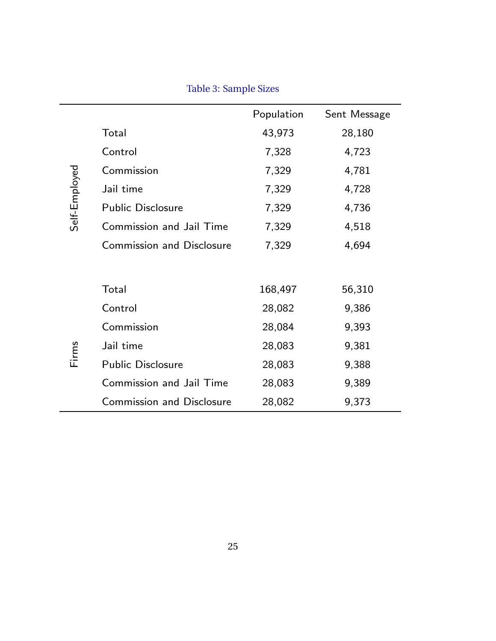<span id="page-26-0"></span>

|               |                                  | Population | Sent Message |
|---------------|----------------------------------|------------|--------------|
|               | Total                            | 43,973     | 28,180       |
|               | Control                          | 7,328      | 4,723        |
|               | Commission                       | 7,329      | 4,781        |
|               | Jail time                        | 7,329      | 4,728        |
| Self-Employed | <b>Public Disclosure</b>         | 7,329      | 4,736        |
|               | Commission and Jail Time         | 7,329      | 4,518        |
|               | <b>Commission and Disclosure</b> | 7,329      | 4,694        |
|               |                                  |            |              |
|               | Total                            | 168,497    | 56,310       |
|               | Control                          | 28,082     | 9,386        |
|               | Commission                       | 28,084     | 9,393        |
| Firms         | Jail time                        | 28,083     | 9,381        |
|               | <b>Public Disclosure</b>         | 28,083     | 9,388        |
|               | Commission and Jail Time         | 28,083     | 9,389        |
|               | <b>Commission and Disclosure</b> | 28,082     | 9,373        |

Table 3: Sample Sizes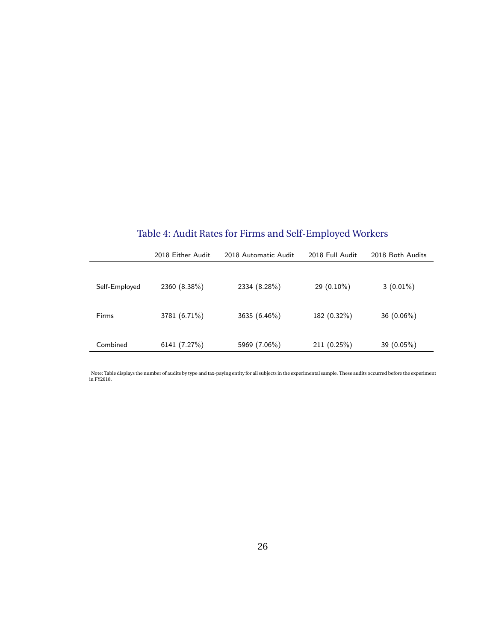| Table 4: Audit Rates for Firms and Self-Employed Workers |  |  |  |  |  |  |  |  |
|----------------------------------------------------------|--|--|--|--|--|--|--|--|
|----------------------------------------------------------|--|--|--|--|--|--|--|--|

<span id="page-27-0"></span>

|               | 2018 Either Audit | 2018 Automatic Audit | 2018 Full Audit | 2018 Both Audits |
|---------------|-------------------|----------------------|-----------------|------------------|
| Self-Employed | 2360 (8.38%)      | 2334 (8.28%)         | $29(0.10\%)$    | $3(0.01\%)$      |
| Firms         | 3781 (6.71%)      | 3635 (6.46%)         | 182 (0.32%)     | 36 (0.06%)       |
| Combined      | 6141 (7.27%)      | 5969 (7.06%)         | 211(0.25%)      | 39 $(0.05\%)$    |

Note: Table displays the number of audits by type and tax-paying entity for all subjects in the experimental sample. These audits occurred before the experiment in FY2018.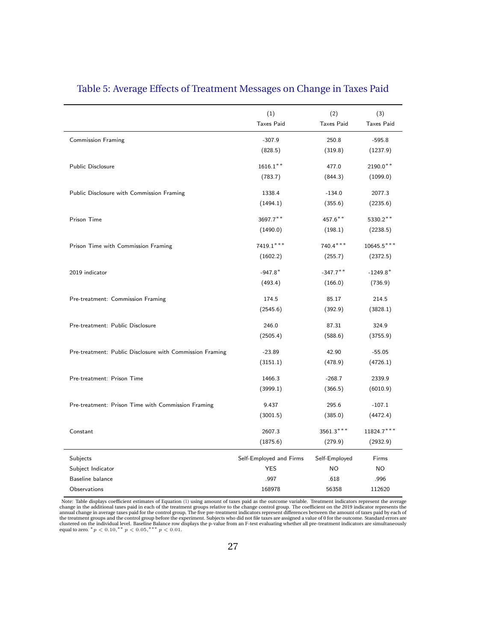|                                                          | (1)                     | (2)               | (3)               |
|----------------------------------------------------------|-------------------------|-------------------|-------------------|
|                                                          | <b>Taxes Paid</b>       | <b>Taxes Paid</b> | <b>Taxes Paid</b> |
| <b>Commission Framing</b>                                | $-307.9$                | 250.8             | $-595.8$          |
|                                                          | (828.5)                 | (319.8)           | (1237.9)          |
|                                                          |                         |                   |                   |
| Public Disclosure                                        | $1616.1***$             | 477.0             | $2190.0**$        |
|                                                          | (783.7)                 | (844.3)           | (1099.0)          |
| Public Disclosure with Commission Framing                | 1338.4                  | $-134.0$          | 2077.3            |
|                                                          | (1494.1)                | (355.6)           | (2235.6)          |
| Prison Time                                              | 3697.7**                | $457.6***$        | 5330.2**          |
|                                                          | (1490.0)                | (198.1)           | (2238.5)          |
|                                                          |                         |                   |                   |
| Prison Time with Commission Framing                      | 7419.1***               | $740.4***$        | $10645.5***$      |
|                                                          | (1602.2)                | (255.7)           | (2372.5)          |
| 2019 indicator                                           | $-947.8*$               | $-347.7$ **       | $-1249.8*$        |
|                                                          | (493.4)                 | (166.0)           | (736.9)           |
|                                                          | 174.5                   | 85.17             | 214.5             |
| Pre-treatment: Commission Framing                        | (2545.6)                | (392.9)           | (3828.1)          |
|                                                          |                         |                   |                   |
| Pre-treatment: Public Disclosure                         | 246.0                   | 87.31             | 324.9             |
|                                                          | (2505.4)                | (588.6)           | (3755.9)          |
| Pre-treatment: Public Disclosure with Commission Framing | $-23.89$                | 42.90             | $-55.05$          |
|                                                          | (3151.1)                | (478.9)           | (4726.1)          |
|                                                          |                         |                   |                   |
| Pre-treatment: Prison Time                               | 1466.3                  | $-268.7$          | 2339.9            |
|                                                          | (3999.1)                | (366.5)           | (6010.9)          |
| Pre-treatment: Prison Time with Commission Framing       | 9.437                   | 295.6             | $-107.1$          |
|                                                          | (3001.5)                | (385.0)           | (4472.4)          |
| Constant                                                 | 2607.3                  | 3561.3***         | 11824.7***        |
|                                                          | (1875.6)                | (279.9)           | (2932.9)          |
|                                                          |                         |                   |                   |
| Subjects                                                 | Self-Employed and Firms | Self-Employed     | Firms             |
| Subject Indicator                                        | YES                     | NO.               | <b>NO</b>         |
| Baseline balance                                         | .997                    | .618              | .996              |
| Observations                                             | 168978                  | 56358             | 112620            |

#### <span id="page-28-0"></span>Table 5: Average Effects of Treatment Messages on Change in Taxes Paid

Note: Table displays coefficient estimates of Equation [\(1\)](#page-14-0) using amount of taxes paid as the outcome variable. Treatment indicators represent the average<br>change in the additional taxes paid in each of the treatment groups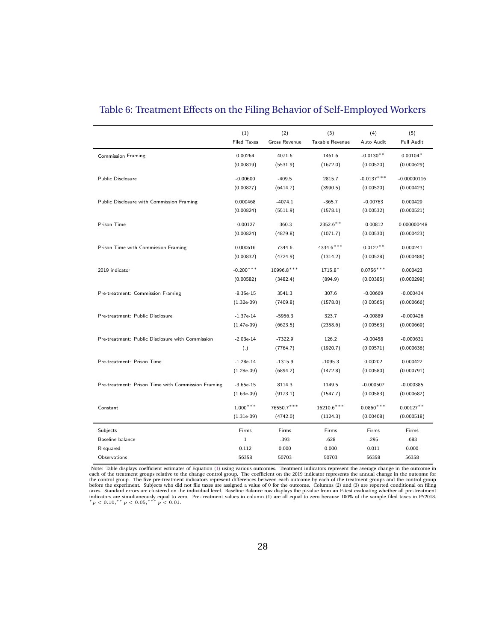|                                                    | (1)<br><b>Filed Taxes</b>  | (2)<br><b>Gross Revenue</b> | (3)<br>Taxable Revenue | (4)<br>Auto Audit        | (5)<br><b>Full Audit</b>  |
|----------------------------------------------------|----------------------------|-----------------------------|------------------------|--------------------------|---------------------------|
| <b>Commission Framing</b>                          | 0.00264                    | 4071.6                      | 1461.6                 | $-0.0130**$              | $0.00104*$                |
|                                                    | (0.00819)                  | (5531.9)                    | (1672.0)               | (0.00520)                | (0.000629)                |
| <b>Public Disclosure</b>                           | $-0.00600$                 | $-409.5$                    | 2815.7                 | $-0.0137***$             | $-0.00000116$             |
|                                                    | (0.00827)                  | (6414.7)                    | (3990.5)               | (0.00520)                | (0.000423)                |
| Public Disclosure with Commission Framing          | 0.000468                   | $-4074.1$                   | $-365.7$               | $-0.00763$               | 0.000429                  |
|                                                    | (0.00824)                  | (5511.9)                    | (1578.1)               | (0.00532)                | (0.000521)                |
| Prison Time                                        | $-0.00127$                 | $-360.3$                    | 2352.6**               | $-0.00812$               | $-0.000000448$            |
|                                                    | (0.00824)                  | (4879.8)                    | (1071.7)               | (0.00530)                | (0.000423)                |
| Prison Time with Commission Framing                | 0.000616                   | 7344.6                      | 4334.6***              | $-0.0127**$              | 0.000241                  |
|                                                    | (0.00832)                  | (4724.9)                    | (1314.2)               | (0.00528)                | (0.000486)                |
| 2019 indicator                                     | $-0.200***$                | 10996.8***                  | 1715.8*                | $0.0756***$              | 0.000423                  |
|                                                    | (0.00582)                  | (3482.4)                    | (894.9)                | (0.00385)                | (0.000299)                |
| Pre-treatment: Commission Framing                  | $-8.35e-15$                | 3541.3                      | 307.6                  | $-0.00669$               | $-0.000434$               |
|                                                    | $(1.32e-0.9)$              | (7409.8)                    | (1578.0)               | (0.00565)                | (0.000666)                |
| Pre-treatment: Public Disclosure                   | $-1.37e-14$                | $-5956.3$                   | 323.7                  | $-0.00889$               | $-0.000426$               |
|                                                    | $(1.47e-09)$               | (6623.5)                    | (2358.6)               | (0.00563)                | (0.000669)                |
| Pre-treatment: Public Disclosure with Commission   | $-2.03e-14$                | $-7322.9$                   | 126.2                  | $-0.00458$               | $-0.000631$               |
|                                                    | (.)                        | (7764.7)                    | (1920.7)               | (0.00571)                | (0.000636)                |
| Pre-treatment: Prison Time                         | $-1.28e-14$                | $-1315.9$                   | $-1095.3$              | 0.00202                  | 0.000422                  |
|                                                    | $(1.28e-09)$               | (6894.2)                    | (1472.8)               | (0.00580)                | (0.000791)                |
| Pre-treatment: Prison Time with Commission Framing | $-3.65e-15$                | 8114.3                      | 1149.5                 | $-0.000507$              | $-0.000385$               |
|                                                    | $(1.63e-09)$               | (9173.1)                    | (1547.7)               | (0.00583)                | (0.000682)                |
|                                                    |                            |                             |                        |                          |                           |
| Constant                                           | $1.000***$<br>$(1.31e-09)$ | 76550.7***<br>(4742.0)      | 16210.6***<br>(1124.3) | $0.0860***$<br>(0.00408) | $0.00127**$<br>(0.000518) |
|                                                    | Firms                      |                             |                        |                          |                           |
| Subjects<br>Baseline balance                       | $1\,$                      | Firms<br>.393               | Firms<br>.628          | Firms<br>.295            | Firms<br>.683             |
| R-squared                                          | 0.112                      | 0.000                       | 0.000                  | 0.011                    | 0.000                     |
| Observations                                       | 56358                      | 50703                       | 50703                  | 56358                    | 56358                     |

#### <span id="page-29-0"></span>Table 6: Treatment Effects on the Filing Behavior of Self-Employed Workers

Note: Table displays coefficient estimates of Equation [\(1\)](#page-14-0) using various outcomes. Treatment indicators represent the average change in the outcome in each of the treatment groups relative to the change control group. The coefficient on the 2019 indicator represents the annual change in the outcome for<br>the control group. The five pre-treatment indicators represent diffe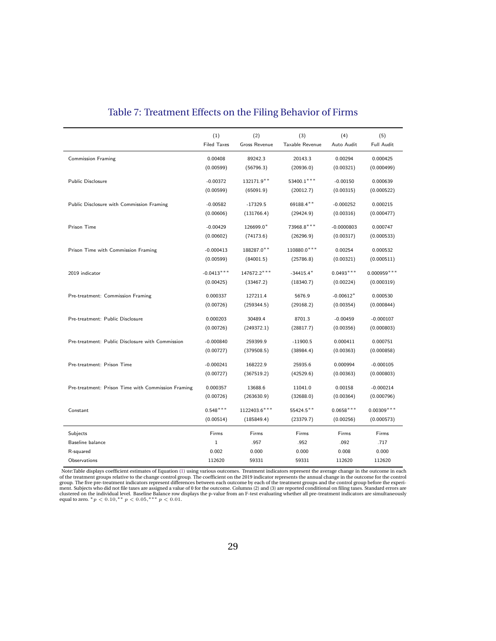<span id="page-30-0"></span>

|                                                    | (1)                | (2)                  | (3)             | (4)          | (5)               |
|----------------------------------------------------|--------------------|----------------------|-----------------|--------------|-------------------|
|                                                    | <b>Filed Taxes</b> | <b>Gross Revenue</b> | Taxable Revenue | Auto Audit   | <b>Full Audit</b> |
| <b>Commission Framing</b>                          | 0.00408            | 89242.3              | 20143.3         | 0.00294      | 0.000425          |
|                                                    | (0.00599)          | (56796.3)            | (20936.0)       | (0.00321)    | (0.000499)        |
|                                                    |                    |                      |                 |              |                   |
| Public Disclosure                                  | $-0.00372$         | 132171.9**           | 53400.1 ***     | $-0.00150$   | 0.000639          |
|                                                    | (0.00599)          | (65091.9)            | (20012.7)       | (0.00315)    | (0.000522)        |
| Public Disclosure with Commission Framing          | $-0.00582$         | $-17329.5$           | 69188.4**       | $-0.000252$  | 0.000215          |
|                                                    | (0.00606)          | (131766.4)           | (29424.9)       | (0.00316)    | (0.000477)        |
|                                                    |                    |                      |                 |              |                   |
| Prison Time                                        | $-0.00429$         | 126699.0*            | 73968.8***      | $-0.0000803$ | 0.000747          |
|                                                    | (0.00602)          | (74173.6)            | (26296.9)       | (0.00317)    | (0.000533)        |
| Prison Time with Commission Framing                | $-0.000413$        | 188287.0**           | 110880.0 ***    | 0.00254      | 0.000532          |
|                                                    | (0.00599)          | (84001.5)            | (25786.8)       | (0.00321)    | (0.000511)        |
|                                                    |                    |                      |                 |              |                   |
| 2019 indicator                                     | $-0.0413***$       | 147672.2***          | $-34415.4*$     | $0.0493***$  | $0.000959***$     |
|                                                    | (0.00425)          | (33467.2)            | (18340.7)       | (0.00224)    | (0.000319)        |
| Pre-treatment: Commission Framing                  | 0.000337           | 127211.4             | 5676.9          | $-0.00612*$  | 0.000530          |
|                                                    | (0.00726)          | (259344.5)           | (29168.2)       | (0.00354)    | (0.000844)        |
|                                                    |                    |                      |                 |              |                   |
| Pre-treatment: Public Disclosure                   | 0.000203           | 30489.4              | 8701.3          | $-0.00459$   | $-0.000107$       |
|                                                    | (0.00726)          | (249372.1)           | (28817.7)       | (0.00356)    | (0.000803)        |
| Pre-treatment: Public Disclosure with Commission   | $-0.000840$        | 259399.9             | $-11900.5$      | 0.000411     | 0.000751          |
|                                                    | (0.00727)          | (379508.5)           | (38984.4)       | (0.00363)    | (0.000858)        |
|                                                    |                    |                      |                 |              |                   |
| Pre-treatment: Prison Time                         | $-0.000241$        | 168222.9             | 25935.6         | 0.000994     | $-0.000105$       |
|                                                    | (0.00727)          | (367519.2)           | (42529.6)       | (0.00363)    | (0.000803)        |
| Pre-treatment: Prison Time with Commission Framing | 0.000357           | 13688.6              | 11041.0         | 0.00158      | $-0.000214$       |
|                                                    | (0.00726)          | (263630.9)           | (32688.0)       | (0.00364)    | (0.000796)        |
|                                                    |                    |                      |                 |              |                   |
| Constant                                           | $0.548***$         | 1122403.6***         | 55424.5**       | $0.0658***$  | $0.00309***$      |
|                                                    | (0.00514)          | (185849.4)           | (23379.7)       | (0.00256)    | (0.000573)        |
| Subjects                                           | Firms              | Firms                | Firms           | Firms        | Firms             |
| Baseline balance                                   | $\,1$              | .957                 | .952            | .092         | .717              |
| R-squared                                          | 0.002              | 0.000                | 0.000           | 0.008        | 0.000             |
| Observations                                       | 112620             | 59331                | 59331           | 112620       | 112620            |

#### Table 7: Treatment Effects on the Filing Behavior of Firms

Note:Table displays coefficient estimates of Equation [\(1\)](#page-14-0) using various outcomes. Treatment indicators represent the average change in the outcome in each of the treatment groups relation of the treatment proups relative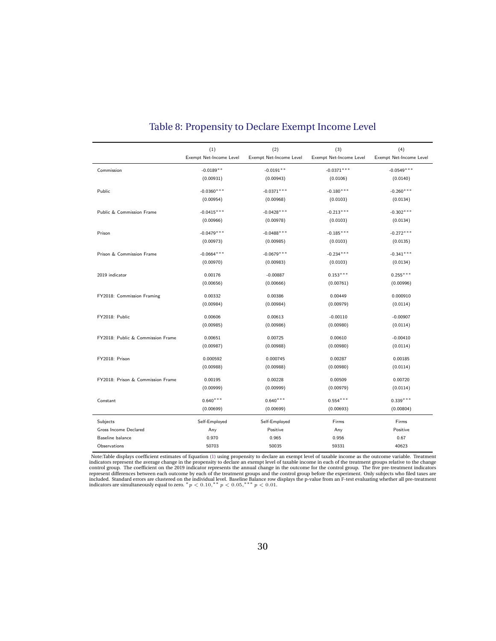<span id="page-31-0"></span>

|                                   | (1)<br>Exempt Net-Income Level | (2)<br>Exempt Net-Income Level | (3)<br>Exempt Net-Income Level | (4)<br>Exempt Net-Income Level |
|-----------------------------------|--------------------------------|--------------------------------|--------------------------------|--------------------------------|
|                                   |                                |                                |                                |                                |
| Commission                        | $-0.0189**$                    | $-0.0191**$                    | $-0.0371***$                   | $-0.0549***$                   |
|                                   | (0.00931)                      | (0.00943)                      | (0.0106)                       | (0.0140)                       |
| Public                            | $-0.0360$ ***                  | $-0.0371***$                   | $-0.180***$                    | $-0.260***$                    |
|                                   | (0.00954)                      | (0.00968)                      | (0.0103)                       | (0.0134)                       |
| Public & Commission Frame         | $-0.0415***$                   | $-0.0428***$                   | $-0.213***$                    | $-0.302***$                    |
|                                   | (0.00966)                      | (0.00978)                      | (0.0103)                       | (0.0134)                       |
| Prison                            | $-0.0479***$                   | $-0.0488$ ***                  | $-0.185***$                    | $-0.272***$                    |
|                                   | (0.00973)                      | (0.00985)                      | (0.0103)                       | (0.0135)                       |
| Prison & Commission Frame         | $-0.0664***$                   | $-0.0679***$                   | $-0.234***$                    | $-0.341***$                    |
|                                   | (0.00970)                      | (0.00983)                      | (0.0103)                       | (0.0134)                       |
| 2019 indicator                    | 0.00176                        | $-0.00887$                     | $0.153***$                     | $0.255***$                     |
|                                   | (0.00656)                      | (0.00666)                      | (0.00761)                      | (0.00996)                      |
|                                   |                                |                                |                                |                                |
| FY2018: Commission Framing        | 0.00332                        | 0.00386                        | 0.00449                        | 0.000910                       |
|                                   | (0.00984)                      | (0.00984)                      | (0.00979)                      | (0.0114)                       |
| FY2018: Public                    | 0.00606                        | 0.00613                        | $-0.00110$                     | $-0.00907$                     |
|                                   | (0.00985)                      | (0.00986)                      | (0.00980)                      | (0.0114)                       |
| FY2018: Public & Commission Frame | 0.00651                        | 0.00725                        | 0.00610                        | $-0.00410$                     |
|                                   | (0.00987)                      | (0.00988)                      | (0.00980)                      | (0.0114)                       |
|                                   |                                |                                |                                |                                |
| FY2018: Prison                    | 0.000592                       | 0.000745                       | 0.00287                        | 0.00185                        |
|                                   | (0.00988)                      | (0.00988)                      | (0.00980)                      | (0.0114)                       |
| FY2018: Prison & Commission Frame | 0.00195                        | 0.00228                        | 0.00509                        | 0.00720                        |
|                                   | (0.00999)                      | (0.00999)                      | (0.00979)                      | (0.0114)                       |
| Constant                          | $0.640***$                     | $0.640***$                     | $0.554***$                     | $0.339***$                     |
|                                   | (0.00699)                      | (0.00699)                      | (0.00693)                      | (0.00804)                      |
| Subjects                          | Self-Employed                  | Self-Employed                  | Firms                          | Firms                          |
| Gross Income Declared             | Any                            | Positive                       | Any                            | Positive                       |
| Baseline balance                  | 0.970                          | 0.965                          | 0.956                          | 0.67                           |
| Observations                      | 50703                          | 50035                          | 59331                          | 40623                          |

#### Table 8: Propensity to Declare Exempt Income Level

Note:Table displays coefficient estimates of Equation [\(1\)](#page-14-0) using propensity to declare an exempt level of taxable income as the outcome variable. Treatment indicators represent the average change in the propensity to decla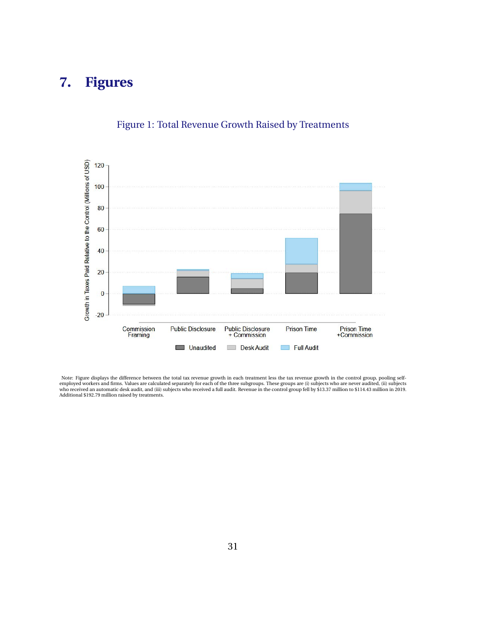## <span id="page-32-0"></span>**7. Figures**



#### Figure 1: Total Revenue Growth Raised by Treatments

Note: Figure displays the difference between the total tax revenue growth in each treatment less the tax revenue growth in the control group, pooling self-<br>employed workers and firms. Values are calculated separately for e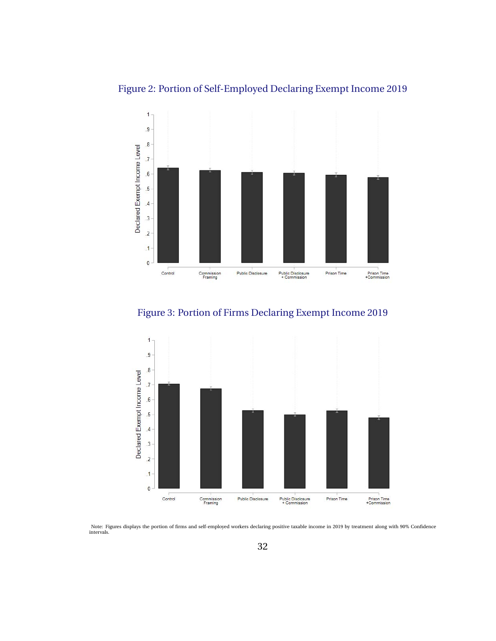

 $\overline{.5}$  $\overline{A}$  $\cdot$ <sup>3</sup>  $\overline{2}$  $\mathbf{1}$  $\mathbf 0$ 

Control

Commission<br>Framing

#### <span id="page-33-0"></span>Figure 2: Portion of Self-Employed Declaring Exempt Income 2019



Public Disclosure

Public Disclosure<br>+ Commission

Prison Time<br>+Commission

Prison Time



Note: Figures displays the portion of firms and self-employed workers declaring positive taxable income in 2019 by treatment along with 90% Confidence intervals.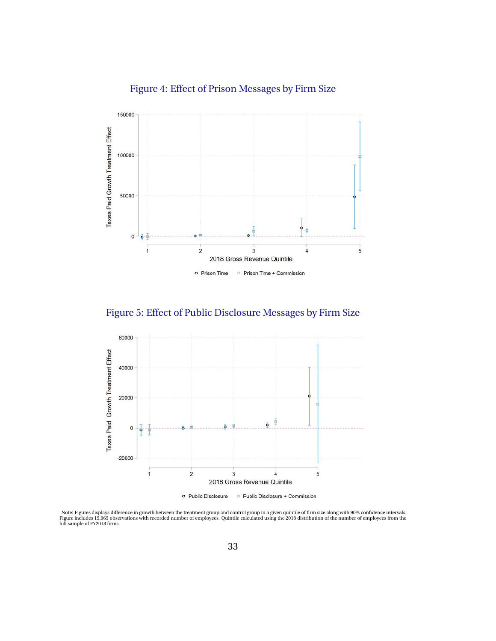#### Figure 4: Effect of Prison Messages by Firm Size

<span id="page-34-0"></span>

Figure 5: Effect of Public Disclosure Messages by Firm Size



o Public Disclosure Public Disclosure + Commission

Note: Figures displays difference in growth between the treatment group and control group in a given quintile of firm size along with 90% confidence intervals.<br>Figure includes 15,965 observations with recorded number of em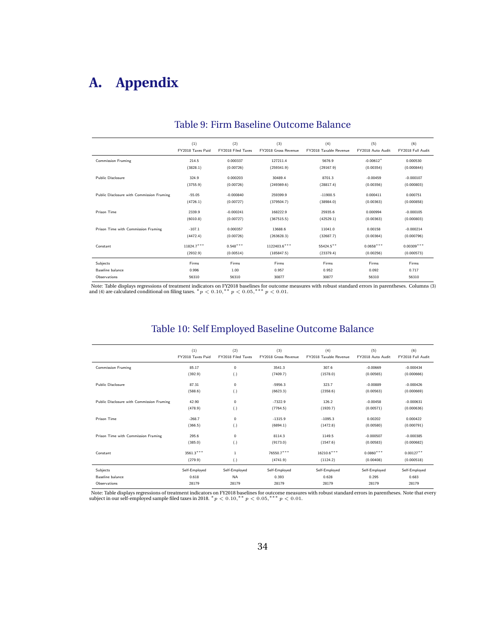## <span id="page-35-0"></span>**A. Appendix**

|                                           | (1)<br>FY2018 Taxes Paid | (2)<br>FY2018 Filed Taxes | (3)<br>FY2018 Gross Revenue | (4)<br>FY2018 Taxable Revenue | (5)<br>FY2018 Auto Audit | (6)<br>FY2018 Full Audit |
|-------------------------------------------|--------------------------|---------------------------|-----------------------------|-------------------------------|--------------------------|--------------------------|
| <b>Commission Framing</b>                 | 214.5                    | 0.000337                  | 127211.4                    | 5676.9                        | $-0.00612*$              | 0.000530                 |
|                                           | (3828.1)                 | (0.00726)                 | (259341.9)                  | (29167.9)                     | (0.00354)                | (0.000844)               |
| Public Disclosure                         | 324.9                    | 0.000203                  | 30489.4                     | 8701.3                        | $-0.00459$               | $-0.000107$              |
|                                           | (3755.9)                 | (0.00726)                 | (249369.6)                  | (28817.4)                     | (0.00356)                | (0.000803)               |
| Public Disclosure with Commission Framing | $-55.05$                 | $-0.000840$               | 259399.9                    | $-11900.5$                    | 0.000411                 | 0.000751                 |
|                                           | (4726.1)                 | (0.00727)                 | (379504.7)                  | (38984.0)                     | (0.00363)                | (0.000858)               |
| Prison Time                               | 2339.9                   | $-0.000241$               | 168222.9                    | 25935.6                       | 0.000994                 | $-0.000105$              |
|                                           | (6010.8)                 | (0.00727)                 | (367515.5)                  | (42529.1)                     | (0.00363)                | (0.000803)               |
| Prison Time with Commission Framing       | $-107.1$                 | 0.000357                  | 13688.6                     | 11041.0                       | 0.00158                  | $-0.000214$              |
|                                           | (4472.4)                 | (0.00726)                 | (263628.3)                  | (32687.7)                     | (0.00364)                | (0.000796)               |
| Constant                                  | $11824.7***$             | $0.548***$                | 1122403.6***                | 55424.5**                     | $0.0658***$              | $0.00309***$             |
|                                           | (2932.9)                 | (0.00514)                 | (185847.5)                  | (23379.4)                     | (0.00256)                | (0.000573)               |
| Subjects                                  | Firms                    | Firms                     | Firms                       | Firms                         | Firms                    | Firms                    |
| Baseline balance                          | 0.996                    | 1.00                      | 0.957                       | 0.952                         | 0.092                    | 0.717                    |
| Observations                              | 56310                    | 56310                     | 30877                       | 30877                         | 56310                    | 56310                    |

#### Table 9: Firm Baseline Outcome Balance

Note: Table displays regressions of treatment indicators on FY2018 baselines for outcome measures with robust standard errors in parentheses. Columns (3) and (4) are calculated conditional on filing taxes. \*  $p < 0.01$ , \*\*

#### Table 10: Self Employed Baseline Outcome Balance

|                                           | (1)<br>FY2018 Taxes Paid | (2)<br>FY2018 Filed Taxes | (3)<br><b>FY2018 Gross Revenue</b> | (4)<br>FY2018 Taxable Revenue | (5)<br>FY2018 Auto Audit | (6)<br>FY2018 Full Audit |
|-------------------------------------------|--------------------------|---------------------------|------------------------------------|-------------------------------|--------------------------|--------------------------|
| <b>Commission Framing</b>                 | 85.17                    | $\mathbf 0$               | 3541.3                             | 307.6                         | $-0.00669$               | $-0.000434$              |
|                                           | (392.9)                  | (.)                       | (7409.7)                           | (1578.0)                      | (0.00565)                | (0.000666)               |
| Public Disclosure                         | 87.31                    | $\mathbf 0$               | $-5956.3$                          | 323.7                         | $-0.00889$               | $-0.000426$              |
|                                           | (588.6)                  | (.)                       | (6623.3)                           | (2358.6)                      | (0.00563)                | (0.000669)               |
| Public Disclosure with Commission Framing | 42.90                    | $\mathbf 0$               | $-7322.9$                          | 126.2                         | $-0.00458$               | $-0.000631$              |
|                                           | (478.9)                  | $\left( .\right)$         | (7764.5)                           | (1920.7)                      | (0.00571)                | (0.000636)               |
| Prison Time                               | $-268.7$                 | $\mathbf 0$               | $-1315.9$                          | $-1095.3$                     | 0.00202                  | 0.000422                 |
|                                           | (366.5)                  | (.)                       | (6894.1)                           | (1472.8)                      | (0.00580)                | (0.000791)               |
| Prison Time with Commission Framing       | 295.6                    | $\mathbf 0$               | 8114.3                             | 1149.5                        | $-0.000507$              | $-0.000385$              |
|                                           | (385.0)                  | $\left( .\right)$         | (9173.0)                           | (1547.6)                      | (0.00583)                | (0.000682)               |
| Constant                                  | $3561.3***$              | $\mathbf{1}$              | 76550.7***                         | $16210.6***$                  | $0.0860***$              | $0.00127**$              |
|                                           | (279.9)                  | (.)                       | (4741.9)                           | (1124.2)                      | (0.00408)                | (0.000518)               |
| Subjects                                  | Self-Employed            | Self-Employed             | Self-Employed                      | Self-Employed                 | Self-Employed            | Self-Employed            |
| Baseline balance                          | 0.618                    | <b>NA</b>                 | 0.393                              | 0.628                         | 0.295                    | 0.683                    |
| Observations                              | 28179                    | 28179                     | 28179                              | 28179                         | 28179                    | 28179                    |

Note: Table displays regressions of treatment indicators on FY2018 baselines for outcome measures with robust standard errors in parentheses. Note that every subject in our self-employed sample filed taxes in 2018. \*  $p <$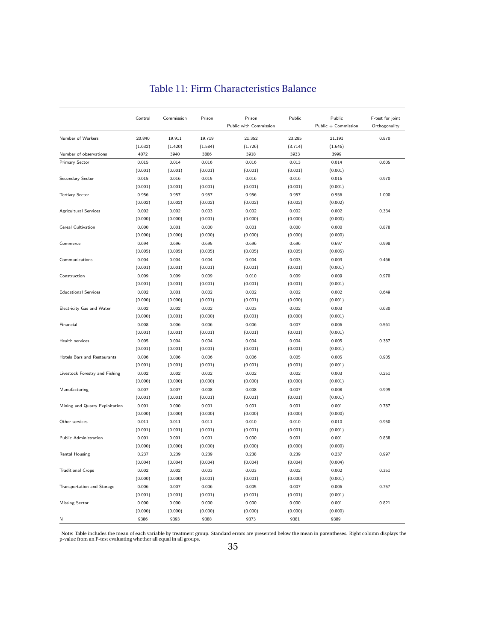<span id="page-36-0"></span>

|                                | Control | Commission | Prison  | Prison                 | Public  | Public              | F-test for joint |  |
|--------------------------------|---------|------------|---------|------------------------|---------|---------------------|------------------|--|
|                                |         |            |         | Public with Commission |         | Public + Commission | Orthogonality    |  |
| Number of Workers              | 20.840  | 19.911     | 19.719  | 21.352                 | 23.285  | 21.191              | 0.870            |  |
|                                | (1.632) | (1.420)    | (1.584) | (1.726)                | (3.714) | (1.646)             |                  |  |
| Number of observations         | 4072    | 3940       | 3886    | 3918                   | 3933    | 3999                |                  |  |
| Primary Sector                 | 0.015   | 0.014      | 0.016   | 0.016                  | 0.013   | 0.014               | 0.605            |  |
|                                | (0.001) | (0.001)    | (0.001) | (0.001)                | (0.001) | (0.001)             |                  |  |
| Secondary Sector               | 0.015   | 0.016      | 0.015   | 0.016                  | 0.016   | 0.016               | 0.970            |  |
|                                | (0.001) | (0.001)    | (0.001) | (0.001)                | (0.001) | (0.001)             |                  |  |
| <b>Tertiary Sector</b>         | 0.956   | 0.957      | 0.957   | 0.956                  | 0.957   | 0.956               | 1.000            |  |
|                                | (0.002) | (0.002)    | (0.002) | (0.002)                | (0.002) | (0.002)             |                  |  |
| Agricultural Services          | 0.002   | 0.002      | 0.003   | 0.002                  | 0.002   | 0.002               | 0.334            |  |
|                                | (0.000) | (0.000)    | (0.001) | (0.000)                | (0.000) | (0.000)             |                  |  |
| Cereal Cultivation             | 0.000   | 0.001      | 0.000   | 0.001                  | 0.000   | 0.000               | 0.878            |  |
|                                | (0.000) | (0.000)    | (0.000) | (0.000)                | (0.000) | (0.000)             |                  |  |
| Commerce                       | 0.694   | 0.696      | 0.695   | 0.696                  | 0.696   | 0.697               | 0.998            |  |
|                                | (0.005) | (0.005)    | (0.005) | (0.005)                | (0.005) | (0.005)             |                  |  |
| Communications                 | 0.004   | 0.004      | 0.004   | 0.004                  | 0.003   | 0.003               | 0.466            |  |
|                                | (0.001) | (0.001)    | (0.001) | (0.001)                | (0.001) | (0.001)             |                  |  |
| Construction                   | 0.009   | 0.009      | 0.009   | 0.010                  | 0.009   | 0.009               | 0.970            |  |
|                                | (0.001) | (0.001)    | (0.001) | (0.001)                | (0.001) | (0.001)             |                  |  |
| <b>Educational Services</b>    | 0.002   | 0.001      | 0.002   | 0.002                  | 0.002   | 0.002               | 0.649            |  |
|                                | (0.000) | (0.000)    | (0.001) | (0.001)                | (0.000) | (0.001)             |                  |  |
| Electricity Gas and Water      | 0.002   | 0.002      | 0.002   | 0.003                  | 0.002   | 0.003               | 0.630            |  |
|                                | (0.000) | (0.001)    | (0.000) | (0.001)                | (0.000) | (0.001)             |                  |  |
| Financial                      | 0.008   | 0.006      | 0.006   | 0.006                  | 0.007   | 0.006               | 0.561            |  |
|                                | (0.001) | (0.001)    | (0.001) | (0.001)                | (0.001) | (0.001)             |                  |  |
| Health services                | 0.005   | 0.004      | 0.004   | 0.004                  | 0.004   | 0.005               | 0.387            |  |
|                                | (0.001) | (0.001)    | (0.001) | (0.001)                | (0.001) | (0.001)             |                  |  |
| Hotels Bars and Restaurants    | 0.006   | 0.006      | 0.006   | 0.006                  | 0.005   | 0.005               | 0.905            |  |
|                                | (0.001) | (0.001)    | (0.001) | (0.001)                | (0.001) | (0.001)             |                  |  |
| Livestock Forestry and Fishing | 0.002   | 0.002      | 0.002   | 0.002                  | 0.002   | 0.003               | 0.251            |  |
|                                | (0.000) | (0.000)    | (0.000) | (0.000)                | (0.000) | (0.001)             |                  |  |
| Manufacturing                  | 0.007   | 0.007      | 0.008   | 0.008                  | 0.007   | 0.008               | 0.999            |  |
|                                | (0.001) | (0.001)    | (0.001) | (0.001)                | (0.001) | (0.001)             |                  |  |
| Mining and Quarry Exploitation | 0.001   | 0.000      | 0.001   | 0.001                  | 0.001   | 0.001               | 0.787            |  |
|                                | (0.000) | (0.000)    | (0.000) | (0.000)                | (0.000) | (0.000)             |                  |  |
| Other services                 | 0.011   | 0.011      | 0.011   | 0.010                  | 0.010   | 0.010               | 0.950            |  |
|                                | (0.001) | (0.001)    | (0.001) | (0.001)                | (0.001) | (0.001)             |                  |  |
| Public Administration          | 0.001   | 0.001      | 0.001   | 0.000                  | 0.001   | 0.001               | 0.838            |  |
|                                | (0.000) | (0.000)    | (0.000) | (0.000)                | (0.000) | (0.000)             |                  |  |
| Rental Housing                 | 0.237   | 0.239      | 0.239   | 0.238                  | 0.239   | 0.237               | 0.997            |  |
|                                | (0.004) | (0.004)    | (0.004) | (0.004)                | (0.004) | (0.004)             |                  |  |
| <b>Traditional Crops</b>       | 0.002   | 0.002      | 0.003   | 0.003                  | 0.002   | 0.002               | 0.351            |  |
|                                | (0.000) | (0.000)    | (0.001) | (0.001)                | (0.000) | (0.001)             |                  |  |
| Transportation and Storage     | 0.006   | 0.007      | 0.006   | 0.005                  | 0.007   | 0.006               | 0.757            |  |
|                                | (0.001) | (0.001)    | (0.001) | (0.001)                | (0.001) | (0.001)             |                  |  |
| <b>Missing Sector</b>          | 0.000   | 0.000      | 0.000   | 0.000                  | 0.000   | 0.001               | 0.821            |  |
|                                | (0.000) | (0.000)    | (0.000) | (0.000)                | (0.000) | (0.000)             |                  |  |
| N                              | 9386    | 9393       | 9388    | 9373                   | 9381    | 9389                |                  |  |
|                                |         |            |         |                        |         |                     |                  |  |

#### Table 11: Firm Characteristics Balance

Note: Table includes the mean of each variable by treatment group. Standard errors are presented below the mean in parentheses. Right column displays the p-value from an F-test evaluating whether all equal in all groups.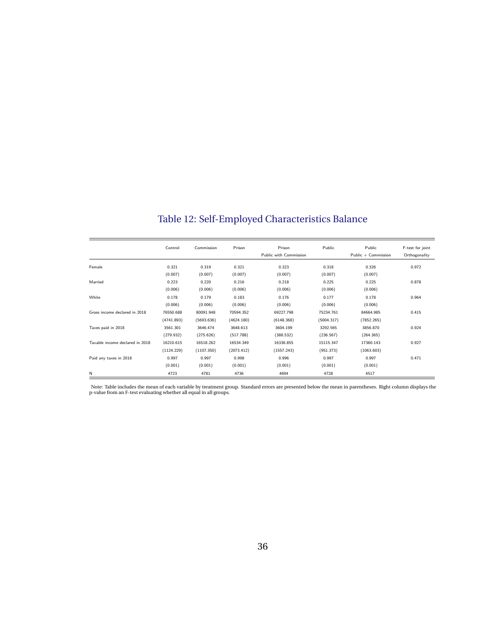<span id="page-37-0"></span>

|                                 | Control    | Commission | Prison     | Prison                 | Public     | Public              | F-test for joint |
|---------------------------------|------------|------------|------------|------------------------|------------|---------------------|------------------|
|                                 |            |            |            | Public with Commission |            | Public + Commission | Orthogonality    |
| Female                          | 0.321      | 0.319      | 0.321      | 0.323                  | 0.318      | 0.326               | 0.972            |
|                                 | (0.007)    | (0.007)    | (0.007)    | (0.007)                | (0.007)    | (0.007)             |                  |
| Married                         | 0.223      | 0.220      | 0.216      | 0.218                  | 0.225      | 0.225               | 0.878            |
|                                 | (0.006)    | (0.006)    | (0.006)    | (0.006)                | (0.006)    | (0.006)             |                  |
| White                           | 0.178      | 0.179      | 0.183      | 0.176                  | 0.177      | 0.178               | 0.964            |
|                                 | (0.006)    | (0.006)    | (0.006)    | (0.006)                | (0.006)    | (0.006)             |                  |
| Gross income declared in 2018   | 76550.688  | 80091.948  | 70594.352  | 69227.798              | 75234.761  | 84664.985           | 0.415            |
|                                 | (4741.893) | (5693.636) | (4624.180) | (6148.368)             | (5004.317) | (7852.265)          |                  |
| Taxes paid in 2018              | 3561.301   | 3646.474   | 3648.613   | 3604.199               | 3292.565   | 3856.870            | 0.924            |
|                                 | (279.932)  | (275.626)  | (517.788)  | (388.532)              | (236.567)  | (264.365)           |                  |
| Taxable income declared in 2018 | 16210.615  | 16518.262  | 16534.349  | 16336.855              | 15115.347  | 17360.143           | 0.927            |
|                                 | (1124.229) | (1107.350) | (2073.412) | (1557.243)             | (951.373)  | (1063.603)          |                  |
| Paid any taxes in 2018          | 0.997      | 0.997      | 0.998      | 0.996                  | 0.997      | 0.997               | 0.471            |
|                                 | (0.001)    | (0.001)    | (0.001)    | (0.001)                | (0.001)    | (0.001)             |                  |
| N                               | 4723       | 4781       | 4736       | 4694                   | 4728       | 4517                |                  |

Table 12: Self-Employed Characteristics Balance

Note: Table includes the mean of each variable by treatment group. Standard errors are presented below the mean in parentheses. Right column displays the p-value from an F-test evaluating whether all equal in all groups.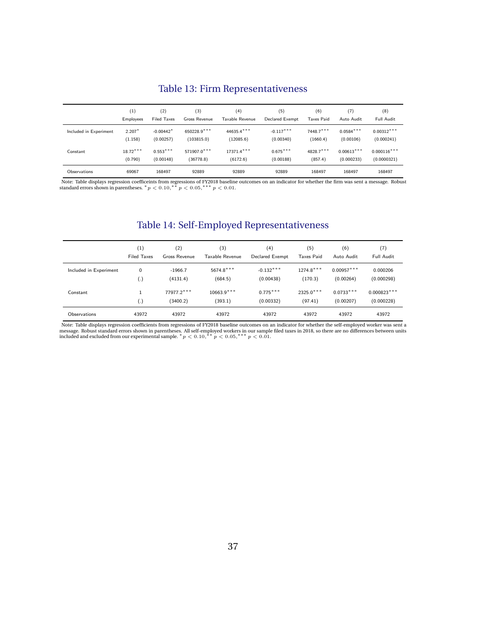#### Table 13: Firm Representativeness

<span id="page-38-0"></span>

|                        | (1)        | (2)                | (3)           | (4)             | (5)             | (6)               | (7)          | (8)           |
|------------------------|------------|--------------------|---------------|-----------------|-----------------|-------------------|--------------|---------------|
|                        | Employees  | <b>Filed Taxes</b> | Gross Revenue | Taxable Revenue | Declared Exempt | <b>Taxes Paid</b> | Auto Audit   | Full Audit    |
| Included in Experiment | $2.207*$   | $-0.00442*$        | 650228.9***   | 44635.4***      | $-0.117***$     | $7448.7***$       | $0.0584***$  | $0.00312***$  |
|                        | (1.158)    | (0.00257)          | (103815.0)    | (12085.6)       | (0.00340)       | (1660.4)          | (0.00106)    | (0.000241)    |
| Constant               | $18.72***$ | $0.553***$         | 571907.0***   | 17371.4***      | $0.675***$      | 4828.7***         | $0.00613***$ | $0.000116***$ |
|                        | (0.790)    | (0.00148)          | (36778.8)     | (6172.6)        | (0.00188)       | (857.4)           | (0.000233)   | (0.0000321)   |
| Observations           | 69067      | 168497             | 92889         | 92889           | 92889           | 168497            | 168497       | 168497        |

Note: Table displays regression coefficeints from regressions of FY2018 baseline outcomes on an indicator for whether the firm was sent a message. Robust standard errors shown in parentheses. \*  $p < 0.10$ , \* \*  $p < 0.05$ , \*

#### Table 14: Self-Employed Representativeness

|                        | (1)                | (2)                     | (3)                     | (4)                     | (5)                    | (6)                      | (7)                         |
|------------------------|--------------------|-------------------------|-------------------------|-------------------------|------------------------|--------------------------|-----------------------------|
|                        | <b>Filed Taxes</b> | Gross Revenue           | Taxable Revenue         | Declared Exempt         | <b>Taxes Paid</b>      | Auto Audit               | Full Audit                  |
| Included in Experiment | 0                  | $-1966.7$               | $5674.8***$             | $-0.132***$             | $1274.8***$            | $0.00957***$             | 0.000206                    |
|                        | $\left( .\right)$  | (4131.4)                | (684.5)                 | (0.00438)               | (170.3)                | (0.00264)                | (0.000298)                  |
| Constant               | $\left( .\right)$  | 77977.2 ***<br>(3400.2) | $10663.9***$<br>(393.1) | $0.775***$<br>(0.00332) | $2325.0***$<br>(97.41) | $0.0733***$<br>(0.00207) | $0.000823***$<br>(0.000228) |
| Observations           | 43972              | 43972                   | 43972                   | 43972                   | 43972                  | 43972                    | 43972                       |

Note: Table displays regression coefficients from regressions of FY2018 baseline outcomes on an indicator for whether the self-employed worker was sent a<br>message. Robust standard errors shown in parentheses. All self-empl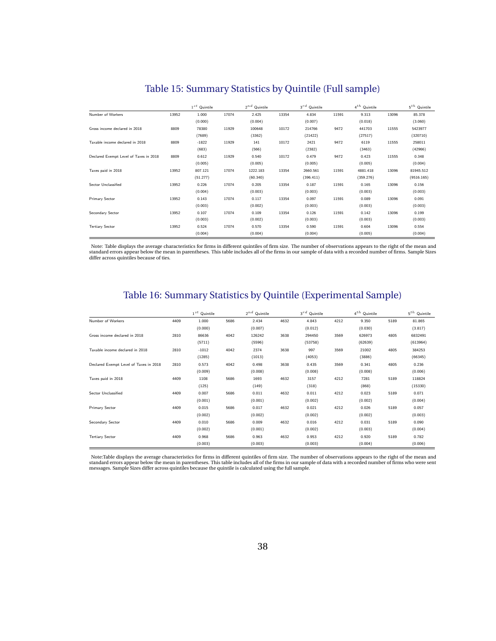<span id="page-39-0"></span>

|                                        |       | $1^{st}$ Quintile |       | $2^{nd}$ Quintile |       | $3^{rd}$ Quintile |       | $4^{th}$ Quintile |       | $5^{th}$ Quintile |
|----------------------------------------|-------|-------------------|-------|-------------------|-------|-------------------|-------|-------------------|-------|-------------------|
| Number of Workers                      | 13952 | 1.000             | 17074 | 2.425             | 13354 | 4.834             | 11591 | 9.313             | 13096 | 85.378            |
|                                        |       | (0.000)           |       | (0.004)           |       | (0.007)           |       | (0.018)           |       | (3.060)           |
| Gross income declared in 2018          | 8809  | 78380             | 11929 | 100648            | 10172 | 214766            | 9472  | 441703            | 11555 | 5423977           |
|                                        |       | (7689)            |       | (3362)            |       | (21422)           |       | (27517)           |       | (320710)          |
| Taxable income declared in 2018        | 8809  | $-1822$           | 11929 | 141               | 10172 | 2421              | 9472  | 6119              | 11555 | 258011            |
|                                        |       | (683)             |       | (566)             |       | (2382)            |       | (3463)            |       | (42966)           |
| Declared Exempt Level of Taxes in 2018 | 8809  | 0.612             | 11929 | 0.540             | 10172 | 0.479             | 9472  | 0.423             | 11555 | 0.348             |
|                                        |       | (0.005)           |       | (0.005)           |       | (0.005)           |       | (0.005)           |       | (0.004)           |
| Taxes paid in 2018                     | 13952 | 807.121           | 17074 | 1222.183          | 13354 | 2660.561          | 11591 | 4881.418          | 13096 | 81945.512         |
|                                        |       | (51.277)          |       | (60.340)          |       | (396.411)         |       | (359.276)         |       | (9516.165)        |
| Sector Unclassified                    | 13952 | 0.226             | 17074 | 0.205             | 13354 | 0.187             | 11591 | 0.165             | 13096 | 0.156             |
|                                        |       | (0.004)           |       | (0.003)           |       | (0.003)           |       | (0.003)           |       | (0.003)           |
| Primary Sector                         | 13952 | 0.143             | 17074 | 0.117             | 13354 | 0.097             | 11591 | 0.089             | 13096 | 0.091             |
|                                        |       | (0.003)           |       | (0.002)           |       | (0.003)           |       | (0.003)           |       | (0.003)           |
| Secondary Sector                       | 13952 | 0.107             | 17074 | 0.109             | 13354 | 0.126             | 11591 | 0.142             | 13096 | 0.199             |
|                                        |       | (0.003)           |       | (0.002)           |       | (0.003)           |       | (0.003)           |       | (0.003)           |
| <b>Tertiary Sector</b>                 | 13952 | 0.524             | 17074 | 0.570             | 13354 | 0.590             | 11591 | 0.604             | 13096 | 0.554             |
|                                        |       | (0.004)           |       | (0.004)           |       | (0.004)           |       | (0.005)           |       | (0.004)           |

#### Table 15: Summary Statistics by Quintile (Full sample)

Note: Table displays the average characteristics for firms in different quintiles of firm size. The number of observations appears to the right of the mean and<br>standard errors appear below the mean in parentheses. This tab

#### Table 16: Summary Statistics by Quintile (Experimental Sample)

|                                        |      | $1^{st}$ Quintile |      | $2^{nd}$ Quintile |      | $3^{rd}$ Quintile |      | $4^{th}$ Quintile |      | $5^{th}$ Quintile |
|----------------------------------------|------|-------------------|------|-------------------|------|-------------------|------|-------------------|------|-------------------|
| Number of Workers                      | 4409 | 1.000             | 5686 | 2.434             | 4632 | 4.843             | 4212 | 9.350             | 5189 | 81.865            |
|                                        |      | (0.000)           |      | (0.007)           |      | (0.012)           |      | (0.030)           |      | (3.817)           |
| Gross income declared in 2018          | 2810 | 86636             | 4042 | 126242            | 3638 | 294450            | 3569 | 626973            | 4805 | 6832491           |
|                                        |      | (5711)            |      | (5596)            |      | (53758)           |      | (62639)           |      | (613964)          |
| Taxable income declared in 2018        | 2810 | $-1012$           | 4042 | 2374              | 3638 | 997               | 3569 | 21002             | 4805 | 384253            |
|                                        |      | (1285)            |      | (1013)            |      | (4053)            |      | (3886)            |      | (66345)           |
| Declared Exempt Level of Taxes in 2018 | 2810 | 0.573             | 4042 | 0.498             | 3638 | 0.435             | 3569 | 0.341             | 4805 | 0.236             |
|                                        |      | (0.009)           |      | (0.008)           |      | (0.008)           |      | (0.008)           |      | (0.006)           |
| Taxes paid in 2018                     | 4409 | 1108              | 5686 | 1693              | 4632 | 3157              | 4212 | 7281              | 5189 | 118824            |
|                                        |      | (125)             |      | (149)             |      | (318)             |      | (868)             |      | (15330)           |
| Sector Unclassified                    | 4409 | 0.007             | 5686 | 0.011             | 4632 | 0.011             | 4212 | 0.023             | 5189 | 0.071             |
|                                        |      | (0.001)           |      | (0.001)           |      | (0.002)           |      | (0.002)           |      | (0.004)           |
| Primary Sector                         | 4409 | 0.015             | 5686 | 0.017             | 4632 | 0.021             | 4212 | 0.026             | 5189 | 0.057             |
|                                        |      | (0.002)           |      | (0.002)           |      | (0.002)           |      | (0.002)           |      | (0.003)           |
| Secondary Sector                       | 4409 | 0.010             | 5686 | 0.009             | 4632 | 0.016             | 4212 | 0.031             | 5189 | 0.090             |
|                                        |      | (0.002)           |      | (0.001)           |      | (0.002)           |      | (0.003)           |      | (0.004)           |
| <b>Tertiary Sector</b>                 | 4409 | 0.968             | 5686 | 0.963             | 4632 | 0.953             | 4212 | 0.920             | 5189 | 0.782             |
|                                        |      | (0.003)           |      | (0.003)           |      | (0.003)           |      | (0.004)           |      | (0.006)           |

Note:Table displays the average characteristics for firms in different quintiles of firm size. The number of observations appears to the right of the mean and standard errors appear below the mean in parentheses. This table includes all of the firms in our sample of data with a recorded number of firms who were sent<br>messages. Sample Sizes differ across quintiles because the quin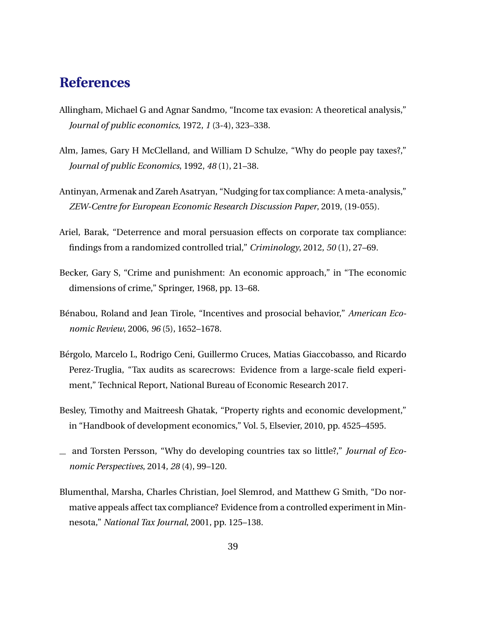## <span id="page-40-0"></span>**References**

- Allingham, Michael G and Agnar Sandmo, "Income tax evasion: A theoretical analysis," *Journal of public economics*, 1972, *1* (3-4), 323–338.
- Alm, James, Gary H McClelland, and William D Schulze, "Why do people pay taxes?," *Journal of public Economics*, 1992, *48* (1), 21–38.
- Antinyan, Armenak and Zareh Asatryan, "Nudging for tax compliance: A meta-analysis," *ZEW-Centre for European Economic Research Discussion Paper*, 2019, (19-055).
- Ariel, Barak, "Deterrence and moral persuasion effects on corporate tax compliance: findings from a randomized controlled trial," *Criminology*, 2012, *50* (1), 27–69.
- Becker, Gary S, "Crime and punishment: An economic approach," in "The economic dimensions of crime," Springer, 1968, pp. 13–68.
- Bénabou, Roland and Jean Tirole, "Incentives and prosocial behavior," *American Economic Review*, 2006, *96* (5), 1652–1678.
- Bergolo, Marcelo L, Rodrigo Ceni, Guillermo Cruces, Matias Giaccobasso, and Ricardo ´ Perez-Truglia, "Tax audits as scarecrows: Evidence from a large-scale field experiment," Technical Report, National Bureau of Economic Research 2017.
- Besley, Timothy and Maitreesh Ghatak, "Property rights and economic development," in "Handbook of development economics," Vol. 5, Elsevier, 2010, pp. 4525–4595.
- and Torsten Persson, "Why do developing countries tax so little?," *Journal of Economic Perspectives*, 2014, *28* (4), 99–120.
- Blumenthal, Marsha, Charles Christian, Joel Slemrod, and Matthew G Smith, "Do normative appeals affect tax compliance? Evidence from a controlled experiment in Minnesota," *National Tax Journal*, 2001, pp. 125–138.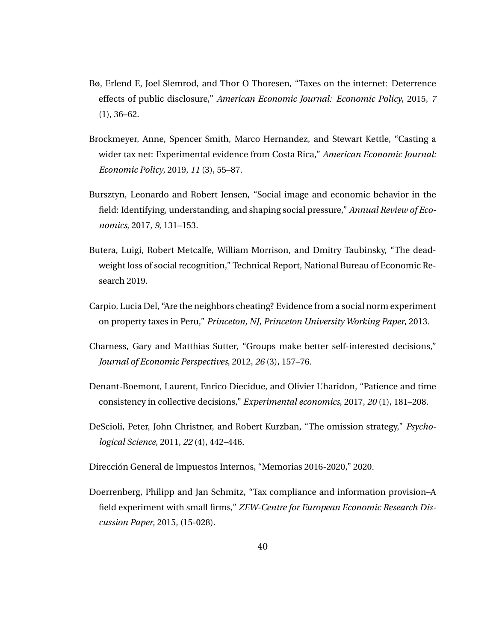- <span id="page-41-0"></span>Bø, Erlend E, Joel Slemrod, and Thor O Thoresen, "Taxes on the internet: Deterrence effects of public disclosure," *American Economic Journal: Economic Policy*, 2015, *7* (1), 36–62.
- Brockmeyer, Anne, Spencer Smith, Marco Hernandez, and Stewart Kettle, "Casting a wider tax net: Experimental evidence from Costa Rica," *American Economic Journal: Economic Policy*, 2019, *11* (3), 55–87.
- Bursztyn, Leonardo and Robert Jensen, "Social image and economic behavior in the field: Identifying, understanding, and shaping social pressure," *Annual Review of Economics*, 2017, *9*, 131–153.
- Butera, Luigi, Robert Metcalfe, William Morrison, and Dmitry Taubinsky, "The deadweight loss of social recognition," Technical Report, National Bureau of Economic Research 2019.
- Carpio, Lucia Del, "Are the neighbors cheating? Evidence from a social norm experiment on property taxes in Peru," *Princeton, NJ, Princeton University Working Paper*, 2013.
- Charness, Gary and Matthias Sutter, "Groups make better self-interested decisions," *Journal of Economic Perspectives*, 2012, *26* (3), 157–76.
- Denant-Boemont, Laurent, Enrico Diecidue, and Olivier L'haridon, "Patience and time consistency in collective decisions," *Experimental economics*, 2017, *20* (1), 181–208.
- DeScioli, Peter, John Christner, and Robert Kurzban, "The omission strategy," *Psychological Science*, 2011, *22* (4), 442–446.
- Dirección General de Impuestos Internos, "Memorias 2016-2020," 2020.
- Doerrenberg, Philipp and Jan Schmitz, "Tax compliance and information provision–A field experiment with small firms," *ZEW-Centre for European Economic Research Discussion Paper*, 2015, (15-028).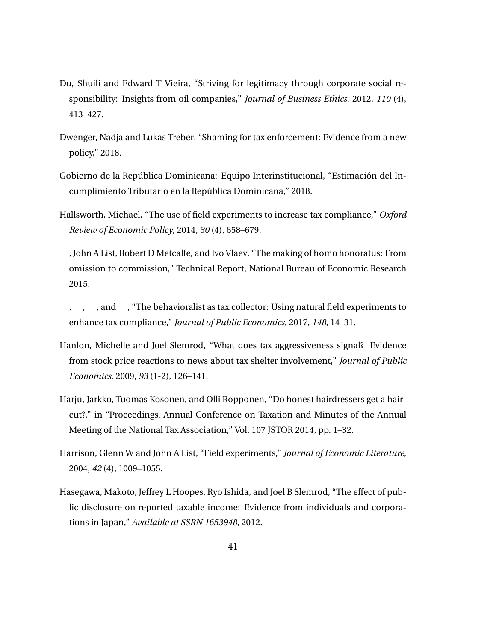- <span id="page-42-0"></span>Du, Shuili and Edward T Vieira, "Striving for legitimacy through corporate social responsibility: Insights from oil companies," *Journal of Business Ethics*, 2012, *110* (4), 413–427.
- Dwenger, Nadja and Lukas Treber, "Shaming for tax enforcement: Evidence from a new policy," 2018.
- Gobierno de la República Dominicana: Equipo Interinstitucional, "Estimación del Incumplimiento Tributario en la República Dominicana," 2018.
- Hallsworth, Michael, "The use of field experiments to increase tax compliance," *Oxford Review of Economic Policy*, 2014, *30* (4), 658–679.
- $\overline{\phantom{a}}$ , John A List, Robert D Metcalfe, and Ivo Vlaev, "The making of homo honoratus: From omission to commission," Technical Report, National Bureau of Economic Research 2015.
- $\ldots$ ,  $\ldots$ , and  $\ldots$ , "The behavioralist as tax collector: Using natural field experiments to enhance tax compliance," *Journal of Public Economics*, 2017, *148*, 14–31.
- Hanlon, Michelle and Joel Slemrod, "What does tax aggressiveness signal? Evidence from stock price reactions to news about tax shelter involvement," *Journal of Public Economics*, 2009, *93* (1-2), 126–141.
- Harju, Jarkko, Tuomas Kosonen, and Olli Ropponen, "Do honest hairdressers get a haircut?," in "Proceedings. Annual Conference on Taxation and Minutes of the Annual Meeting of the National Tax Association," Vol. 107 JSTOR 2014, pp. 1–32.
- Harrison, Glenn W and John A List, "Field experiments," *Journal of Economic Literature*, 2004, *42* (4), 1009–1055.
- Hasegawa, Makoto, Jeffrey L Hoopes, Ryo Ishida, and Joel B Slemrod, "The effect of public disclosure on reported taxable income: Evidence from individuals and corporations in Japan," *Available at SSRN 1653948*, 2012.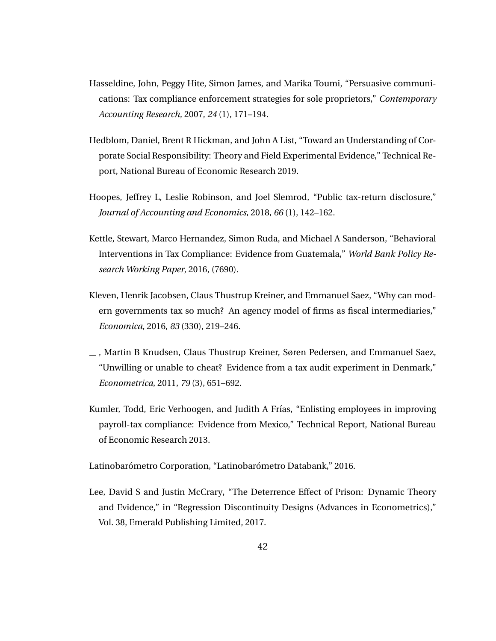- <span id="page-43-0"></span>Hasseldine, John, Peggy Hite, Simon James, and Marika Toumi, "Persuasive communications: Tax compliance enforcement strategies for sole proprietors," *Contemporary Accounting Research*, 2007, *24* (1), 171–194.
- Hedblom, Daniel, Brent R Hickman, and John A List, "Toward an Understanding of Corporate Social Responsibility: Theory and Field Experimental Evidence," Technical Report, National Bureau of Economic Research 2019.
- Hoopes, Jeffrey L, Leslie Robinson, and Joel Slemrod, "Public tax-return disclosure," *Journal of Accounting and Economics*, 2018, *66* (1), 142–162.
- Kettle, Stewart, Marco Hernandez, Simon Ruda, and Michael A Sanderson, "Behavioral Interventions in Tax Compliance: Evidence from Guatemala," *World Bank Policy Research Working Paper*, 2016, (7690).
- Kleven, Henrik Jacobsen, Claus Thustrup Kreiner, and Emmanuel Saez, "Why can modern governments tax so much? An agency model of firms as fiscal intermediaries," *Economica*, 2016, *83* (330), 219–246.
- , Martin B Knudsen, Claus Thustrup Kreiner, Søren Pedersen, and Emmanuel Saez, "Unwilling or unable to cheat? Evidence from a tax audit experiment in Denmark," *Econometrica*, 2011, *79* (3), 651–692.
- Kumler, Todd, Eric Verhoogen, and Judith A Frías, "Enlisting employees in improving payroll-tax compliance: Evidence from Mexico," Technical Report, National Bureau of Economic Research 2013.

Latinobarómetro Corporation, "Latinobarómetro Databank," 2016.

Lee, David S and Justin McCrary, "The Deterrence Effect of Prison: Dynamic Theory and Evidence," in "Regression Discontinuity Designs (Advances in Econometrics)," Vol. 38, Emerald Publishing Limited, 2017.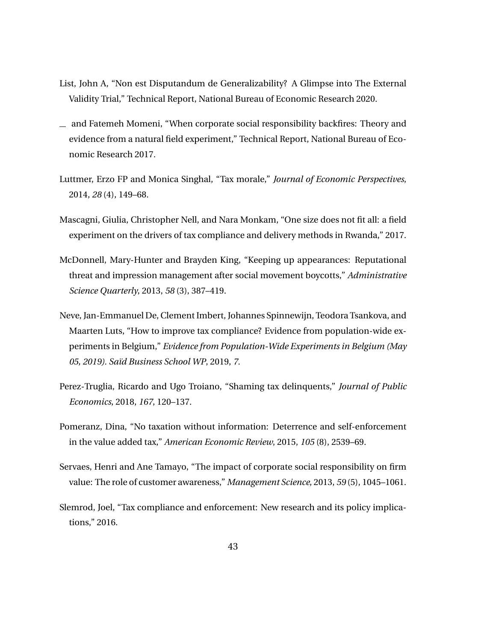- <span id="page-44-0"></span>List, John A, "Non est Disputandum de Generalizability? A Glimpse into The External Validity Trial," Technical Report, National Bureau of Economic Research 2020.
- $\equiv$  and Fatemeh Momeni, "When corporate social responsibility backfires: Theory and evidence from a natural field experiment," Technical Report, National Bureau of Economic Research 2017.
- Luttmer, Erzo FP and Monica Singhal, "Tax morale," *Journal of Economic Perspectives*, 2014, *28* (4), 149–68.
- Mascagni, Giulia, Christopher Nell, and Nara Monkam, "One size does not fit all: a field experiment on the drivers of tax compliance and delivery methods in Rwanda," 2017.
- McDonnell, Mary-Hunter and Brayden King, "Keeping up appearances: Reputational threat and impression management after social movement boycotts," *Administrative Science Quarterly*, 2013, *58* (3), 387–419.
- Neve, Jan-Emmanuel De, Clement Imbert, Johannes Spinnewijn, Teodora Tsankova, and Maarten Luts, "How to improve tax compliance? Evidence from population-wide experiments in Belgium," *Evidence from Population-Wide Experiments in Belgium (May 05, 2019). Sa¨ıd Business School WP*, 2019, *7.*
- Perez-Truglia, Ricardo and Ugo Troiano, "Shaming tax delinquents," *Journal of Public Economics*, 2018, *167*, 120–137.
- Pomeranz, Dina, "No taxation without information: Deterrence and self-enforcement in the value added tax," *American Economic Review*, 2015, *105* (8), 2539–69.
- Servaes, Henri and Ane Tamayo, "The impact of corporate social responsibility on firm value: The role of customer awareness," *Management Science*, 2013, *59* (5), 1045–1061.
- Slemrod, Joel, "Tax compliance and enforcement: New research and its policy implications," 2016.